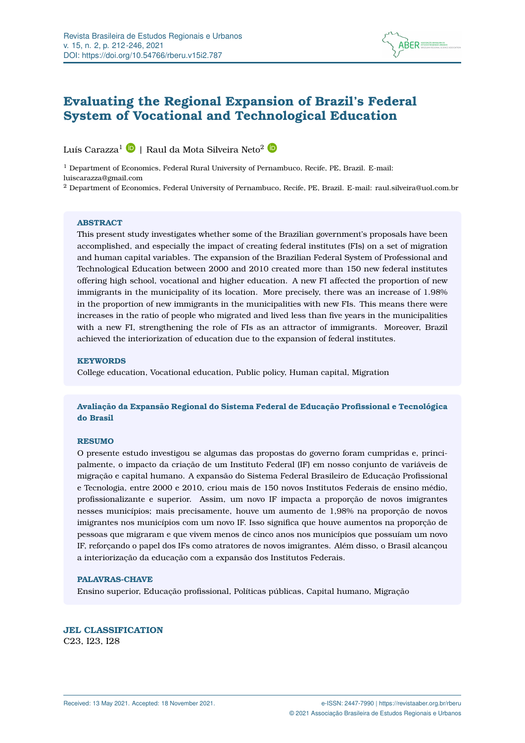

# <span id="page-0-0"></span>**Evaluating the Regional Expansion of Brazil's Federal System of Vocational and Technological Education**

Luís Carazza<sup>1</sup> D | Raul da Mota Silveira Neto<sup>2</sup> D

<sup>1</sup> Department of Economics, Federal Rural University of Pernambuco, Recife, PE, Brazil. E-mail: luiscarazza@gmail.com

<sup>2</sup> Department of Economics, Federal University of Pernambuco, Recife, PE, Brazil. E-mail: raul.silveira@uol.com.br

#### **ABSTRACT**

This present study investigates whether some of the Brazilian government's proposals have been accomplished, and especially the impact of creating federal institutes (FIs) on a set of migration and human capital variables. The expansion of the Brazilian Federal System of Professional and Technological Education between 2000 and 2010 created more than 150 new federal institutes offering high school, vocational and higher education. A new FI affected the proportion of new immigrants in the municipality of its location. More precisely, there was an increase of 1.98% in the proportion of new immigrants in the municipalities with new FIs. This means there were increases in the ratio of people who migrated and lived less than five years in the municipalities with a new FI, strengthening the role of FIs as an attractor of immigrants. Moreover, Brazil achieved the interiorization of education due to the expansion of federal institutes.

#### **KEYWORDS**

College education, Vocational education, Public policy, Human capital, Migration

**Avaliação da Expansão Regional do Sistema Federal de Educação Profissional e Tecnológica do Brasil**

## **RESUMO**

O presente estudo investigou se algumas das propostas do governo foram cumpridas e, principalmente, o impacto da criação de um Instituto Federal (IF) em nosso conjunto de variáveis de migração e capital humano. A expansão do Sistema Federal Brasileiro de Educação Profissional e Tecnologia, entre 2000 e 2010, criou mais de 150 novos Institutos Federais de ensino médio, profissionalizante e superior. Assim, um novo IF impacta a proporção de novos imigrantes nesses municípios; mais precisamente, houve um aumento de 1,98% na proporção de novos imigrantes nos municípios com um novo IF. Isso significa que houve aumentos na proporção de pessoas que migraram e que vivem menos de cinco anos nos municípios que possuíam um novo IF, reforçando o papel dos IFs como atratores de novos imigrantes. Além disso, o Brasil alcançou a interiorização da educação com a expansão dos Institutos Federais.

#### **PALAVRAS-CHAVE**

Ensino superior, Educação profissional, Políticas públicas, Capital humano, Migração

### **JEL CLASSIFICATION**

C23, I23, I28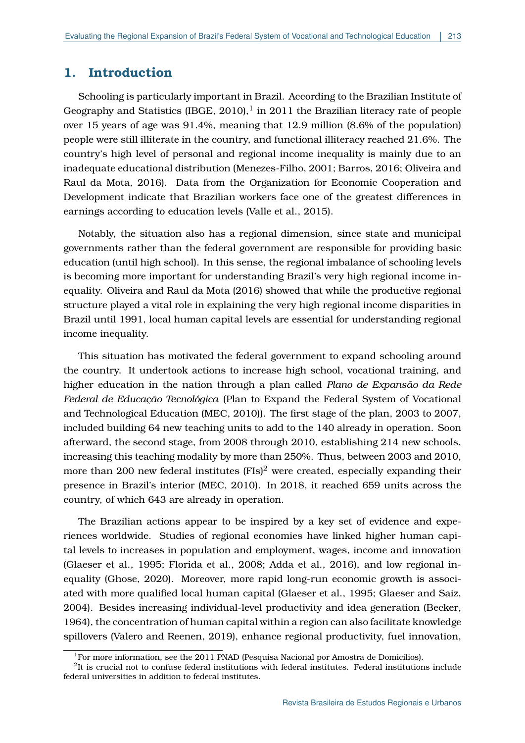## **1. Introduction**

Schooling is particularly important in Brazil. According to the Brazilian Institute of Geography and Statistics [\(IBGE, 2010\)](#page-24-0),<sup>[1](#page-0-0)</sup> in 2011 the Brazilian literacy rate of people over 15 years of age was 91.4%, meaning that 12.9 million (8.6% of the population) people were still illiterate in the country, and functional illiteracy reached 21.6%. The country's high level of personal and regional income inequality is mainly due to an inadequate educational distribution [\(Menezes-Filho, 2001;](#page-24-1) [Barros, 2016;](#page-22-0) [Oliveira and](#page-25-0) [Raul da Mota, 2016\)](#page-25-0). Data from the Organization for Economic Cooperation and Development indicate that Brazilian workers face one of the greatest differences in earnings according to education levels [\(Valle et al., 2015\)](#page-26-0).

Notably, the situation also has a regional dimension, since state and municipal governments rather than the federal government are responsible for providing basic education (until high school). In this sense, the regional imbalance of schooling levels is becoming more important for understanding Brazil's very high regional income inequality. [Oliveira and Raul da Mota](#page-25-0) [\(2016\)](#page-25-0) showed that while the productive regional structure played a vital role in explaining the very high regional income disparities in Brazil until 1991, local human capital levels are essential for understanding regional income inequality.

This situation has motivated the federal government to expand schooling around the country. It undertook actions to increase high school, vocational training, and higher education in the nation through a plan called *Plano de Expansão da Rede Federal de Educação Tecnológica* (Plan to Expand the Federal System of Vocational and Technological Education [\(MEC, 2010\)](#page-24-2)). The first stage of the plan, 2003 to 2007, included building 64 new teaching units to add to the 140 already in operation. Soon afterward, the second stage, from 2008 through 2010, establishing 214 new schools, increasing this teaching modality by more than 250%. Thus, between 2003 and 2010, more than [2](#page-0-0)00 new federal institutes  $(FIs)^2$  were created, especially expanding their presence in Brazil's interior [\(MEC, 2010\)](#page-24-2). In 2018, it reached 659 units across the country, of which 643 are already in operation.

The Brazilian actions appear to be inspired by a key set of evidence and experiences worldwide. Studies of regional economies have linked higher human capital levels to increases in population and employment, wages, income and innovation [\(Glaeser et al., 1995;](#page-23-0) [Florida et al., 2008;](#page-23-1) [Adda et al., 2016\)](#page-22-1), and low regional inequality [\(Ghose, 2020\)](#page-23-2). Moreover, more rapid long-run economic growth is associated with more qualified local human capital [\(Glaeser et al., 1995;](#page-23-0) [Glaeser and Saiz,](#page-23-3) [2004\)](#page-23-3). Besides increasing individual-level productivity and idea generation [\(Becker,](#page-22-2) [1964\)](#page-22-2), the concentration of human capital within a region can also facilitate knowledge spillovers [\(Valero and Reenen, 2019\)](#page-25-1), enhance regional productivity, fuel innovation,

<sup>&</sup>lt;sup>1</sup>For more information, see the 2011 PNAD (Pesquisa Nacional por Amostra de Domicílios).

 ${}^{2}$ It is crucial not to confuse federal institutions with federal institutes. Federal institutions include federal universities in addition to federal institutes.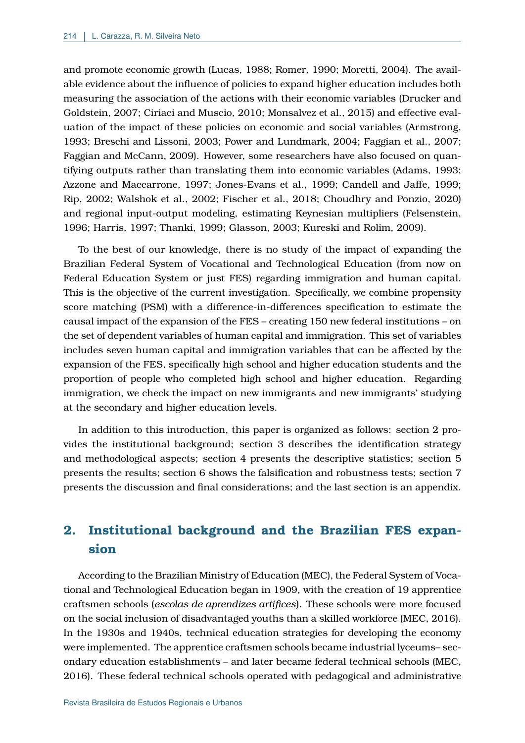and promote economic growth [\(Lucas, 1988;](#page-24-3) [Romer, 1990;](#page-25-2) [Moretti, 2004\)](#page-25-3). The available evidence about the influence of policies to expand higher education includes both measuring the association of the actions with their economic variables [\(Drucker and](#page-23-4) [Goldstein, 2007;](#page-23-4) [Ciriaci and Muscio, 2010;](#page-23-5) [Monsalvez et al., 2015\)](#page-25-4) and effective evaluation of the impact of these policies on economic and social variables [\(Armstrong,](#page-22-3) [1993;](#page-22-3) [Breschi and Lissoni, 2003;](#page-22-4) [Power and Lundmark, 2004;](#page-25-5) [Faggian et al., 2007;](#page-23-6) [Faggian and McCann, 2009\)](#page-23-7). However, some researchers have also focused on quantifying outputs rather than translating them into economic variables [\(Adams, 1993;](#page-22-5) [Azzone and Maccarrone, 1997;](#page-22-6) [Jones-Evans et al., 1999;](#page-24-4) [Candell and Jaffe, 1999;](#page-22-7) [Rip, 2002;](#page-25-6) [Walshok et al., 2002;](#page-26-1) [Fischer et al., 2018;](#page-23-8) [Choudhry and Ponzio, 2020\)](#page-23-9) and regional input-output modeling, estimating Keynesian multipliers [\(Felsenstein,](#page-23-10) [1996;](#page-23-10) [Harris, 1997;](#page-24-5) [Thanki, 1999;](#page-25-7) [Glasson, 2003;](#page-23-11) [Kureski and Rolim, 2009\)](#page-24-6).

To the best of our knowledge, there is no study of the impact of expanding the Brazilian Federal System of Vocational and Technological Education (from now on Federal Education System or just FES) regarding immigration and human capital. This is the objective of the current investigation. Specifically, we combine propensity score matching (PSM) with a difference-in-differences specification to estimate the causal impact of the expansion of the FES – creating 150 new federal institutions – on the set of dependent variables of human capital and immigration. This set of variables includes seven human capital and immigration variables that can be affected by the expansion of the FES, specifically high school and higher education students and the proportion of people who completed high school and higher education. Regarding immigration, we check the impact on new immigrants and new immigrants' studying at the secondary and higher education levels.

In addition to this introduction, this paper is organized as follows: section 2 provides the institutional background; section 3 describes the identification strategy and methodological aspects; section 4 presents the descriptive statistics; section 5 presents the results; section 6 shows the falsification and robustness tests; section 7 presents the discussion and final considerations; and the last section is an appendix.

# **2. Institutional background and the Brazilian FES expansion**

According to the Brazilian Ministry of Education (MEC), the Federal System of Vocational and Technological Education began in 1909, with the creation of 19 apprentice craftsmen schools (*escolas de aprendizes artífices*). These schools were more focused on the social inclusion of disadvantaged youths than a skilled workforce [\(MEC, 2016\)](#page-24-7). In the 1930s and 1940s, technical education strategies for developing the economy were implemented. The apprentice craftsmen schools became industrial lyceums– secondary education establishments – and later became federal technical schools [\(MEC,](#page-24-7) [2016\)](#page-24-7). These federal technical schools operated with pedagogical and administrative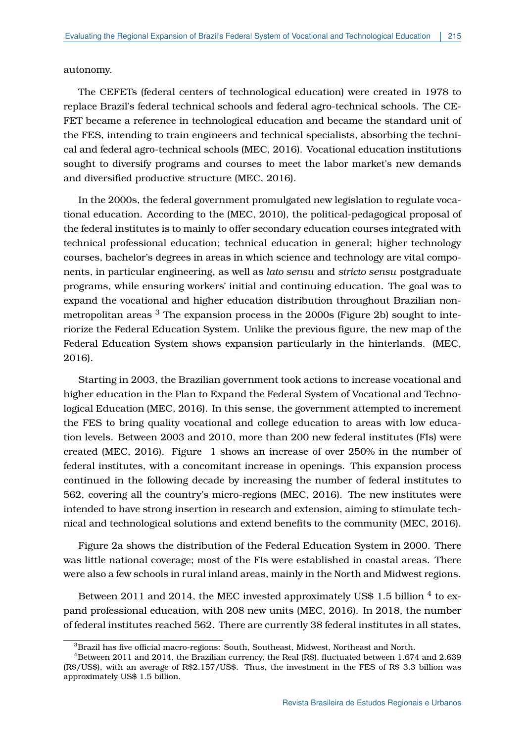autonomy.

The CEFETs (federal centers of technological education) were created in 1978 to replace Brazil's federal technical schools and federal agro-technical schools. The CE-FET became a reference in technological education and became the standard unit of the FES, intending to train engineers and technical specialists, absorbing the technical and federal agro-technical schools [\(MEC, 2016\)](#page-24-7). Vocational education institutions sought to diversify programs and courses to meet the labor market's new demands and diversified productive structure [\(MEC, 2016\)](#page-24-7).

In the 2000s, the federal government promulgated new legislation to regulate vocational education. According to the [\(MEC, 2010\)](#page-24-2), the political-pedagogical proposal of the federal institutes is to mainly to offer secondary education courses integrated with technical professional education; technical education in general; higher technology courses, bachelor's degrees in areas in which science and technology are vital components, in particular engineering, as well as *lato sensu* and *stricto sensu* postgraduate programs, while ensuring workers' initial and continuing education. The goal was to expand the vocational and higher education distribution throughout Brazilian non-metropolitan areas <sup>[3](#page-0-0)</sup> The expansion process in the 2000s (Figure 2b) sought to interiorize the Federal Education System. Unlike the previous figure, the new map of the Federal Education System shows expansion particularly in the hinterlands. [\(MEC,](#page-24-7) [2016\)](#page-24-7).

Starting in 2003, the Brazilian government took actions to increase vocational and higher education in the Plan to Expand the Federal System of Vocational and Technological Education [\(MEC, 2016\)](#page-24-7). In this sense, the government attempted to increment the FES to bring quality vocational and college education to areas with low education levels. Between 2003 and 2010, more than 200 new federal institutes (FIs) were created [\(MEC, 2016\)](#page-24-7). Figure [1](#page-4-0) shows an increase of over 250% in the number of federal institutes, with a concomitant increase in openings. This expansion process continued in the following decade by increasing the number of federal institutes to 562, covering all the country's micro-regions [\(MEC, 2016\)](#page-24-7). The new institutes were intended to have strong insertion in research and extension, aiming to stimulate technical and technological solutions and extend benefits to the community [\(MEC, 2016\)](#page-24-7).

Figure 2a shows the distribution of the Federal Education System in 2000. There was little national coverage; most of the FIs were established in coastal areas. There were also a few schools in rural inland areas, mainly in the North and Midwest regions.

Between 2011 and 201[4](#page-0-0), the MEC invested approximately US\$ 1.5 billion  $^4$  to expand professional education, with 208 new units [\(MEC, 2016\)](#page-24-7). In 2018, the number of federal institutes reached 562. There are currently 38 federal institutes in all states,

 ${}^{3}$ Brazil has five official macro-regions: South, Southeast, Midwest, Northeast and North.

 $4B$ etween 2011 and 2014, the Brazilian currency, the Real (R\$), fluctuated between 1.674 and 2.639 (R\$/US\$), with an average of R\$2.157/US\$. Thus, the investment in the FES of R\$ 3.3 billion was approximately US\$ 1.5 billion.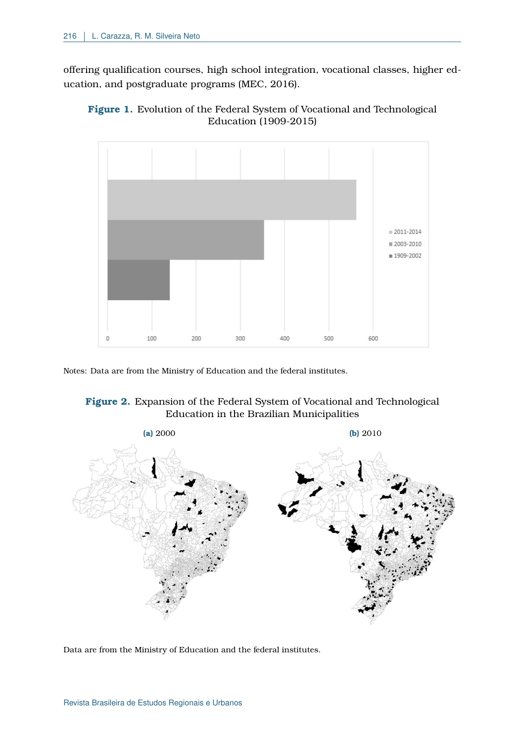offering qualification courses, high school integration, vocational classes, higher education, and postgraduate programs [\(MEC, 2016\)](#page-24-7).

<span id="page-4-0"></span>



Notes: Data are from the Ministry of Education and the federal institutes.

## <span id="page-4-1"></span>**Figure 2.** Expansion of the Federal System of Vocational and Technological Education in the Brazilian Municipalities



Data are from the Ministry of Education and the federal institutes.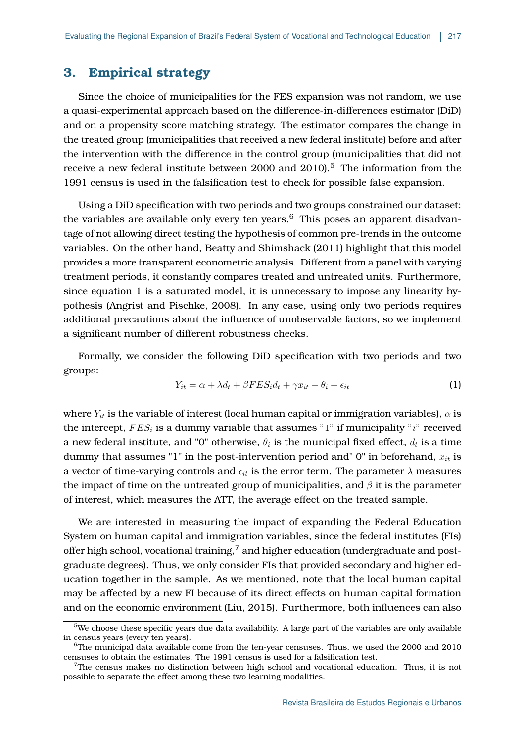## **3. Empirical strategy**

Since the choice of municipalities for the FES expansion was not random, we use a quasi-experimental approach based on the difference-in-differences estimator (DiD) and on a propensity score matching strategy. The estimator compares the change in the treated group (municipalities that received a new federal institute) before and after the intervention with the difference in the control group (municipalities that did not receive a new federal institute between 2000 and 2010).<sup>[5](#page-0-0)</sup> The information from the 1991 census is used in the falsification test to check for possible false expansion.

Using a DiD specification with two periods and two groups constrained our dataset: the variables are available only every ten years.<sup>[6](#page-0-0)</sup> This poses an apparent disadvantage of not allowing direct testing the hypothesis of common pre-trends in the outcome variables. On the other hand, [Beatty and Shimshack](#page-22-8) [\(2011\)](#page-22-8) highlight that this model provides a more transparent econometric analysis. Different from a panel with varying treatment periods, it constantly compares treated and untreated units. Furthermore, since equation [1](#page-5-0) is a saturated model, it is unnecessary to impose any linearity hypothesis [\(Angrist and Pischke, 2008\)](#page-22-9). In any case, using only two periods requires additional precautions about the influence of unobservable factors, so we implement a significant number of different robustness checks.

Formally, we consider the following DiD specification with two periods and two groups:

<span id="page-5-0"></span>
$$
Y_{it} = \alpha + \lambda d_t + \beta FES_i d_t + \gamma x_{it} + \theta_i + \epsilon_{it} \tag{1}
$$

where  $Y_{it}$  is the variable of interest (local human capital or immigration variables),  $\alpha$  is the intercept,  $FES_i$  is a dummy variable that assumes "1" if municipality " $i$ " received a new federal institute, and "0" otherwise,  $\theta_i$  is the municipal fixed effect,  $d_t$  is a time dummy that assumes "1" in the post-intervention period and"  $0$ " in beforehand,  $x_{it}$  is a vector of time-varying controls and  $\epsilon_{it}$  is the error term. The parameter  $\lambda$  measures the impact of time on the untreated group of municipalities, and  $\beta$  it is the parameter of interest, which measures the ATT, the average effect on the treated sample.

We are interested in measuring the impact of expanding the Federal Education System on human capital and immigration variables, since the federal institutes (FIs) offer high school, vocational training, $7$  and higher education (undergraduate and postgraduate degrees). Thus, we only consider FIs that provided secondary and higher education together in the sample. As we mentioned, note that the local human capital may be affected by a new FI because of its direct effects on human capital formation and on the economic environment [\(Liu, 2015\)](#page-24-8). Furthermore, both influences can also

 $5$ We choose these specific years due data availability. A large part of the variables are only available in census years (every ten years).

 $6$ The municipal data available come from the ten-year censuses. Thus, we used the 2000 and 2010 censuses to obtain the estimates. The 1991 census is used for a falsification test.

 $7$ The census makes no distinction between high school and vocational education. Thus, it is not possible to separate the effect among these two learning modalities.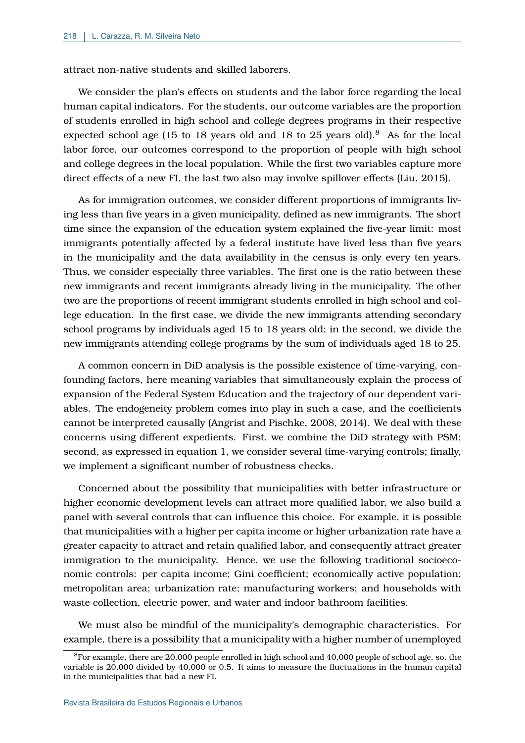attract non-native students and skilled laborers.

We consider the plan's effects on students and the labor force regarding the local human capital indicators. For the students, our outcome variables are the proportion of students enrolled in high school and college degrees programs in their respective expected school age (15 to 1[8](#page-0-0) years old and 18 to 25 years old).<sup>8</sup> As for the local labor force, our outcomes correspond to the proportion of people with high school and college degrees in the local population. While the first two variables capture more direct effects of a new FI, the last two also may involve spillover effects [\(Liu, 2015\)](#page-24-8).

As for immigration outcomes, we consider different proportions of immigrants living less than five years in a given municipality, defined as new immigrants. The short time since the expansion of the education system explained the five-year limit: most immigrants potentially affected by a federal institute have lived less than five years in the municipality and the data availability in the census is only every ten years. Thus, we consider especially three variables. The first one is the ratio between these new immigrants and recent immigrants already living in the municipality. The other two are the proportions of recent immigrant students enrolled in high school and college education. In the first case, we divide the new immigrants attending secondary school programs by individuals aged 15 to 18 years old; in the second, we divide the new immigrants attending college programs by the sum of individuals aged 18 to 25.

A common concern in DiD analysis is the possible existence of time-varying, confounding factors, here meaning variables that simultaneously explain the process of expansion of the Federal System Education and the trajectory of our dependent variables. The endogeneity problem comes into play in such a case, and the coefficients cannot be interpreted causally [\(Angrist and Pischke, 2008,](#page-22-9) [2014\)](#page-22-10). We deal with these concerns using different expedients. First, we combine the DiD strategy with PSM; second, as expressed in equation [1,](#page-5-0) we consider several time-varying controls; finally, we implement a significant number of robustness checks.

Concerned about the possibility that municipalities with better infrastructure or higher economic development levels can attract more qualified labor, we also build a panel with several controls that can influence this choice. For example, it is possible that municipalities with a higher per capita income or higher urbanization rate have a greater capacity to attract and retain qualified labor, and consequently attract greater immigration to the municipality. Hence, we use the following traditional socioeconomic controls: per capita income; Gini coefficient; economically active population; metropolitan area; urbanization rate; manufacturing workers; and households with waste collection, electric power, and water and indoor bathroom facilities.

We must also be mindful of the municipality's demographic characteristics. For example, there is a possibility that a municipality with a higher number of unemployed

 $8$ For example, there are 20,000 people enrolled in high school and 40,000 people of school age, so, the variable is 20,000 divided by 40,000 or 0.5. It aims to measure the fluctuations in the human capital in the municipalities that had a new FI.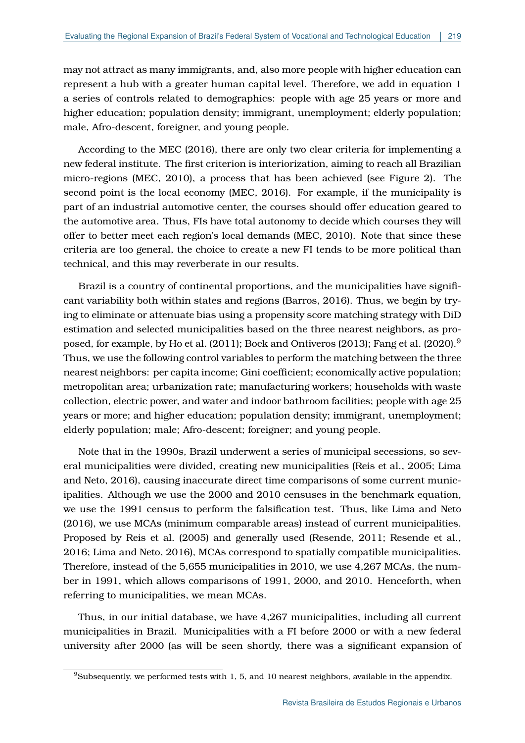may not attract as many immigrants, and, also more people with higher education can represent a hub with a greater human capital level. Therefore, we add in equation [1](#page-5-0) a series of controls related to demographics: people with age 25 years or more and higher education; population density; immigrant, unemployment; elderly population; male, Afro-descent, foreigner, and young people.

According to the [MEC](#page-24-7) [\(2016\)](#page-24-7), there are only two clear criteria for implementing a new federal institute. The first criterion is interiorization, aiming to reach all Brazilian micro-regions [\(MEC, 2010\)](#page-24-2), a process that has been achieved (see Figure [2\)](#page-4-1). The second point is the local economy [\(MEC, 2016\)](#page-24-7). For example, if the municipality is part of an industrial automotive center, the courses should offer education geared to the automotive area. Thus, FIs have total autonomy to decide which courses they will offer to better meet each region's local demands [\(MEC, 2010\)](#page-24-2). Note that since these criteria are too general, the choice to create a new FI tends to be more political than technical, and this may reverberate in our results.

Brazil is a country of continental proportions, and the municipalities have significant variability both within states and regions [\(Barros, 2016\)](#page-22-0). Thus, we begin by trying to eliminate or attenuate bias using a propensity score matching strategy with DiD estimation and selected municipalities based on the three nearest neighbors, as pro-posed, for example, by [Ho et al.](#page-24-9) [\(2011\)](#page-24-9); [Bock and Ontiveros](#page-22-11) [\(2013\)](#page-22-11); [Fang et al.](#page-23-12) [\(2020\)](#page-23-12).<sup>[9](#page-0-0)</sup> Thus, we use the following control variables to perform the matching between the three nearest neighbors: per capita income; Gini coefficient; economically active population; metropolitan area; urbanization rate; manufacturing workers; households with waste collection, electric power, and water and indoor bathroom facilities; people with age 25 years or more; and higher education; population density; immigrant, unemployment; elderly population; male; Afro-descent; foreigner; and young people.

Note that in the 1990s, Brazil underwent a series of municipal secessions, so several municipalities were divided, creating new municipalities [\(Reis et al., 2005;](#page-25-8) [Lima](#page-24-10) [and Neto, 2016\)](#page-24-10), causing inaccurate direct time comparisons of some current municipalities. Although we use the 2000 and 2010 censuses in the benchmark equation, we use the 1991 census to perform the falsification test. Thus, like [Lima and Neto](#page-24-10) [\(2016\)](#page-24-10), we use MCAs (minimum comparable areas) instead of current municipalities. Proposed by [Reis et al.](#page-25-8) [\(2005\)](#page-25-8) and generally used [\(Resende, 2011;](#page-25-9) [Resende et al.,](#page-25-10) [2016;](#page-25-10) [Lima and Neto, 2016\)](#page-24-10), MCAs correspond to spatially compatible municipalities. Therefore, instead of the 5,655 municipalities in 2010, we use 4,267 MCAs, the number in 1991, which allows comparisons of 1991, 2000, and 2010. Henceforth, when referring to municipalities, we mean MCAs.

Thus, in our initial database, we have 4,267 municipalities, including all current municipalities in Brazil. Municipalities with a FI before 2000 or with a new federal university after 2000 (as will be seen shortly, there was a significant expansion of

<sup>9</sup>Subsequently, we performed tests with 1, 5, and 10 nearest neighbors, available in the appendix.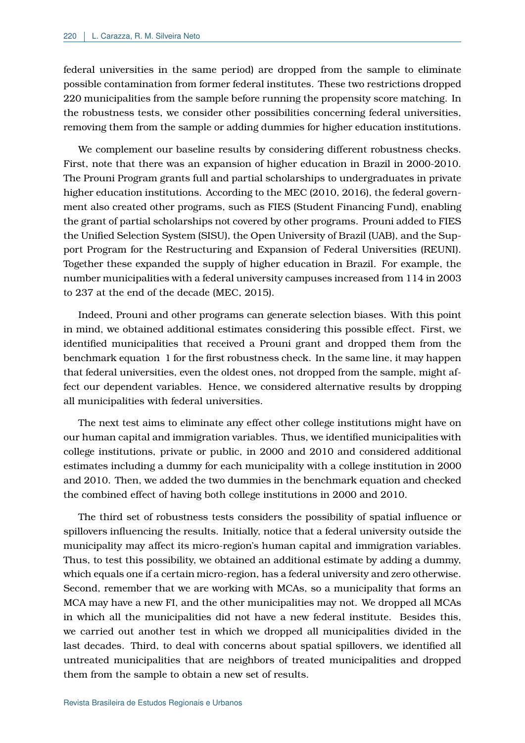federal universities in the same period) are dropped from the sample to eliminate possible contamination from former federal institutes. These two restrictions dropped 220 municipalities from the sample before running the propensity score matching. In the robustness tests, we consider other possibilities concerning federal universities, removing them from the sample or adding dummies for higher education institutions.

We complement our baseline results by considering different robustness checks. First, note that there was an expansion of higher education in Brazil in 2000-2010. The Prouni Program grants full and partial scholarships to undergraduates in private higher education institutions. According to the [MEC](#page-24-2) [\(2010,](#page-24-2) [2016\)](#page-24-7), the federal government also created other programs, such as FIES (Student Financing Fund), enabling the grant of partial scholarships not covered by other programs. Prouni added to FIES the Unified Selection System (SISU), the Open University of Brazil (UAB), and the Support Program for the Restructuring and Expansion of Federal Universities (REUNI). Together these expanded the supply of higher education in Brazil. For example, the number municipalities with a federal university campuses increased from 114 in 2003 to 237 at the end of the decade [\(MEC, 2015\)](#page-24-11).

Indeed, Prouni and other programs can generate selection biases. With this point in mind, we obtained additional estimates considering this possible effect. First, we identified municipalities that received a Prouni grant and dropped them from the benchmark equation [1](#page-5-0) for the first robustness check. In the same line, it may happen that federal universities, even the oldest ones, not dropped from the sample, might affect our dependent variables. Hence, we considered alternative results by dropping all municipalities with federal universities.

The next test aims to eliminate any effect other college institutions might have on our human capital and immigration variables. Thus, we identified municipalities with college institutions, private or public, in 2000 and 2010 and considered additional estimates including a dummy for each municipality with a college institution in 2000 and 2010. Then, we added the two dummies in the benchmark equation and checked the combined effect of having both college institutions in 2000 and 2010.

The third set of robustness tests considers the possibility of spatial influence or spillovers influencing the results. Initially, notice that a federal university outside the municipality may affect its micro-region's human capital and immigration variables. Thus, to test this possibility, we obtained an additional estimate by adding a dummy, which equals one if a certain micro-region, has a federal university and zero otherwise. Second, remember that we are working with MCAs, so a municipality that forms an MCA may have a new FI, and the other municipalities may not. We dropped all MCAs in which all the municipalities did not have a new federal institute. Besides this, we carried out another test in which we dropped all municipalities divided in the last decades. Third, to deal with concerns about spatial spillovers, we identified all untreated municipalities that are neighbors of treated municipalities and dropped them from the sample to obtain a new set of results.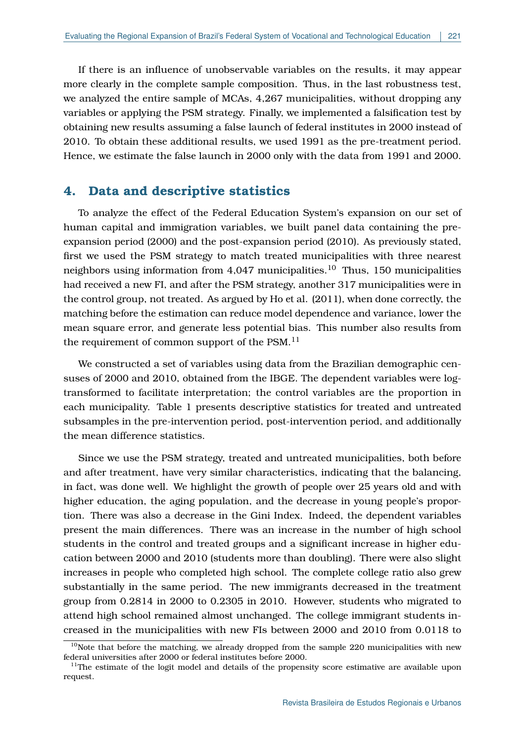If there is an influence of unobservable variables on the results, it may appear more clearly in the complete sample composition. Thus, in the last robustness test, we analyzed the entire sample of MCAs, 4,267 municipalities, without dropping any variables or applying the PSM strategy. Finally, we implemented a falsification test by obtaining new results assuming a false launch of federal institutes in 2000 instead of 2010. To obtain these additional results, we used 1991 as the pre-treatment period. Hence, we estimate the false launch in 2000 only with the data from 1991 and 2000.

# **4. Data and descriptive statistics**

To analyze the effect of the Federal Education System's expansion on our set of human capital and immigration variables, we built panel data containing the preexpansion period (2000) and the post-expansion period (2010). As previously stated, first we used the PSM strategy to match treated municipalities with three nearest neighbors using information from  $4,047$  municipalities.<sup>[10](#page-0-0)</sup> Thus, 150 municipalities had received a new FI, and after the PSM strategy, another 317 municipalities were in the control group, not treated. As argued by Ho et al. (2011), when done correctly, the matching before the estimation can reduce model dependence and variance, lower the mean square error, and generate less potential bias. This number also results from the requirement of common support of the PSM.<sup>[11](#page-0-0)</sup>

We constructed a set of variables using data from the Brazilian demographic censuses of 2000 and 2010, obtained from the IBGE. The dependent variables were logtransformed to facilitate interpretation; the control variables are the proportion in each municipality. Table [1](#page-10-0) presents descriptive statistics for treated and untreated subsamples in the pre-intervention period, post-intervention period, and additionally the mean difference statistics.

Since we use the PSM strategy, treated and untreated municipalities, both before and after treatment, have very similar characteristics, indicating that the balancing, in fact, was done well. We highlight the growth of people over 25 years old and with higher education, the aging population, and the decrease in young people's proportion. There was also a decrease in the Gini Index. Indeed, the dependent variables present the main differences. There was an increase in the number of high school students in the control and treated groups and a significant increase in higher education between 2000 and 2010 (students more than doubling). There were also slight increases in people who completed high school. The complete college ratio also grew substantially in the same period. The new immigrants decreased in the treatment group from 0.2814 in 2000 to 0.2305 in 2010. However, students who migrated to attend high school remained almost unchanged. The college immigrant students increased in the municipalities with new FIs between 2000 and 2010 from 0.0118 to

 $10$ Note that before the matching, we already dropped from the sample 220 municipalities with new federal universities after 2000 or federal institutes before 2000.

 $11$ The estimate of the logit model and details of the propensity score estimative are available upon request.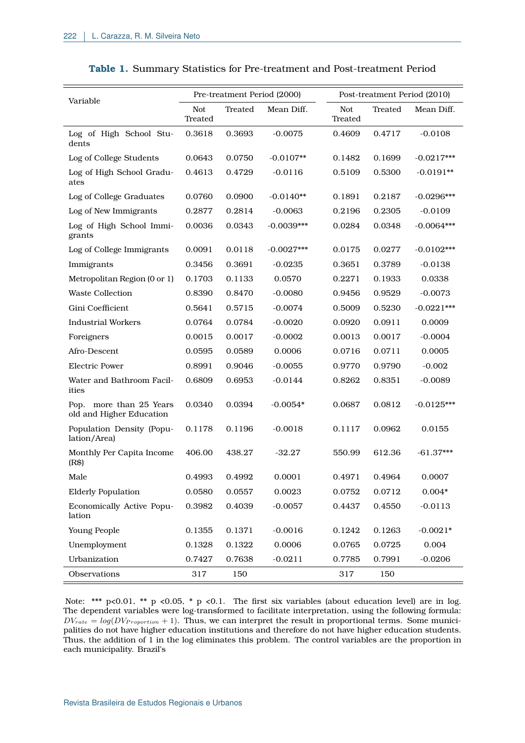<span id="page-10-0"></span>

| Variable                                            |                       |         | Pre-treatment Period (2000) |                       |         | Post-treatment Period (2010) |
|-----------------------------------------------------|-----------------------|---------|-----------------------------|-----------------------|---------|------------------------------|
|                                                     | <b>Not</b><br>Treated | Treated | Mean Diff.                  | <b>Not</b><br>Treated | Treated | Mean Diff.                   |
| Log of High School Stu-<br>dents                    | 0.3618                | 0.3693  | $-0.0075$                   | 0.4609                | 0.4717  | $-0.0108$                    |
| Log of College Students                             | 0.0643                | 0.0750  | $-0.0107**$                 | 0.1482                | 0.1699  | $-0.0217***$                 |
| Log of High School Gradu-<br>ates                   | 0.4613                | 0.4729  | $-0.0116$                   | 0.5109                | 0.5300  | $-0.0191**$                  |
| Log of College Graduates                            | 0.0760                | 0.0900  | $-0.0140**$                 | 0.1891                | 0.2187  | $-0.0296***$                 |
| Log of New Immigrants                               | 0.2877                | 0.2814  | $-0.0063$                   | 0.2196                | 0.2305  | $-0.0109$                    |
| Log of High School Immi-<br>grants                  | 0.0036                | 0.0343  | $-0.0039***$                | 0.0284                | 0.0348  | $-0.0064***$                 |
| Log of College Immigrants                           | 0.0091                | 0.0118  | $-0.0027***$                | 0.0175                | 0.0277  | $-0.0102***$                 |
| Immigrants                                          | 0.3456                | 0.3691  | $-0.0235$                   | 0.3651                | 0.3789  | $-0.0138$                    |
| Metropolitan Region (0 or 1)                        | 0.1703                | 0.1133  | 0.0570                      | 0.2271                | 0.1933  | 0.0338                       |
| <b>Waste Collection</b>                             | 0.8390                | 0.8470  | $-0.0080$                   | 0.9456                | 0.9529  | $-0.0073$                    |
| Gini Coefficient                                    | 0.5641                | 0.5715  | $-0.0074$                   | 0.5009                | 0.5230  | $-0.0221***$                 |
| <b>Industrial Workers</b>                           | 0.0764                | 0.0784  | $-0.0020$                   | 0.0920                | 0.0911  | 0.0009                       |
| Foreigners                                          | 0.0015                | 0.0017  | $-0.0002$                   | 0.0013                | 0.0017  | $-0.0004$                    |
| Afro-Descent                                        | 0.0595                | 0.0589  | 0.0006                      | 0.0716                | 0.0711  | 0.0005                       |
| <b>Electric Power</b>                               | 0.8991                | 0.9046  | $-0.0055$                   | 0.9770                | 0.9790  | $-0.002$                     |
| Water and Bathroom Facil-<br>ities                  | 0.6809                | 0.6953  | $-0.0144$                   | 0.8262                | 0.8351  | $-0.0089$                    |
| Pop. more than 25 Years<br>old and Higher Education | 0.0340                | 0.0394  | $-0.0054*$                  | 0.0687                | 0.0812  | $-0.0125***$                 |
| Population Density (Popu-<br>lation/Area)           | 0.1178                | 0.1196  | $-0.0018$                   | 0.1117                | 0.0962  | 0.0155                       |
| Monthly Per Capita Income<br>(R\$)                  | 406.00                | 438.27  | $-32.27$                    | 550.99                | 612.36  | $-61.37***$                  |
| Male                                                | 0.4993                | 0.4992  | 0.0001                      | 0.4971                | 0.4964  | 0.0007                       |
| <b>Elderly Population</b>                           | 0.0580                | 0.0557  | 0.0023                      | 0.0752                | 0.0712  | $0.004*$                     |
| Economically Active Popu-<br>lation                 | 0.3982                | 0.4039  | $-0.0057$                   | 0.4437                | 0.4550  | $-0.0113$                    |
| Young People                                        | 0.1355                | 0.1371  | $-0.0016$                   | 0.1242                | 0.1263  | $-0.0021*$                   |
| Unemployment                                        | 0.1328                | 0.1322  | 0.0006                      | 0.0765                | 0.0725  | 0.004                        |
| Urbanization                                        | 0.7427                | 0.7638  | $-0.0211$                   | 0.7785                | 0.7991  | $-0.0206$                    |
| Observations                                        | 317                   | 150     |                             | 317                   | 150     |                              |

### **Table 1.** Summary Statistics for Pre-treatment and Post-treatment Period

Note: \*\*\* p<0.01, \*\* p <0.05, \* p <0.1. The first six variables (about education level) are in log. The dependent variables were log-transformed to facilitate interpretation, using the following formula:  $DV_{rate} = log(DV_{Proportion} + 1)$ . Thus, we can interpret the result in proportional terms. Some municipalities do not have higher education institutions and therefore do not have higher education students. Thus, the addition of 1 in the log eliminates this problem. The control variables are the proportion in each municipality. Brazil's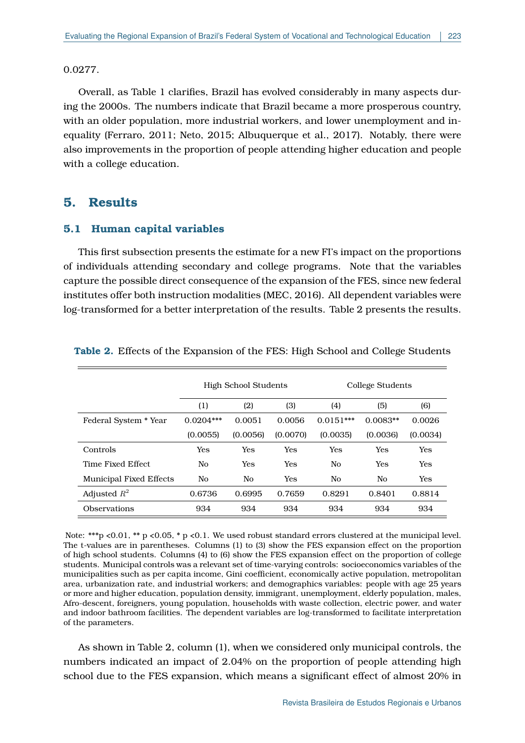### 0.0277.

Overall, as Table 1 clarifies, Brazil has evolved considerably in many aspects during the 2000s. The numbers indicate that Brazil became a more prosperous country, with an older population, more industrial workers, and lower unemployment and inequality [\(Ferraro, 2011;](#page-23-13) [Neto, 2015;](#page-25-11) [Albuquerque et al., 2017\)](#page-22-12). Notably, there were also improvements in the proportion of people attending higher education and people with a college education.

## **5. Results**

## **5.1 Human capital variables**

This first subsection presents the estimate for a new FI's impact on the proportions of individuals attending secondary and college programs. Note that the variables capture the possible direct consequence of the expansion of the FES, since new federal institutes offer both instruction modalities [\(MEC, 2016\)](#page-24-7). All dependent variables were log-transformed for a better interpretation of the results. Table [2](#page-11-0) presents the results.

|                                | High School Students |            |            | College Students |            |            |
|--------------------------------|----------------------|------------|------------|------------------|------------|------------|
|                                | (1)                  | (2)        | (3)        | (4)              | (5)        | (6)        |
| Federal System * Year          | $0.0204***$          | 0.0051     | 0.0056     | $0.0151***$      | $0.0083**$ | 0.0026     |
|                                | (0.0055)             | (0.0056)   | (0.0070)   | (0.0035)         | (0.0036)   | (0.0034)   |
| Controls                       | <b>Yes</b>           | <b>Yes</b> | <b>Yes</b> | Yes              | <b>Yes</b> | <b>Yes</b> |
| Time Fixed Effect              | No.                  | Yes        | <b>Yes</b> | No               | Yes        | <b>Yes</b> |
| <b>Municipal Fixed Effects</b> | No                   | No         | Yes        | No               | No.        | Yes        |
| Adjusted $R^2$                 | 0.6736               | 0.6995     | 0.7659     | 0.8291           | 0.8401     | 0.8814     |
| <b>Observations</b>            | 934                  | 934        | 934        | 934              | 934        | 934        |

<span id="page-11-0"></span>**Table 2.** Effects of the Expansion of the FES: High School and College Students

Note: \*\*\*p <0.01, \*\* p <0.05, \* p <0.1. We used robust standard errors clustered at the municipal level. The t-values are in parentheses. Columns (1) to (3) show the FES expansion effect on the proportion of high school students. Columns (4) to (6) show the FES expansion effect on the proportion of college students. Municipal controls was a relevant set of time-varying controls: socioeconomics variables of the municipalities such as per capita income, Gini coefficient, economically active population, metropolitan area, urbanization rate, and industrial workers; and demographics variables: people with age 25 years or more and higher education, population density, immigrant, unemployment, elderly population, males, Afro-descent, foreigners, young population, households with waste collection, electric power, and water and indoor bathroom facilities. The dependent variables are log-transformed to facilitate interpretation of the parameters.

As shown in Table [2,](#page-11-0) column (1), when we considered only municipal controls, the numbers indicated an impact of 2.04% on the proportion of people attending high school due to the FES expansion, which means a significant effect of almost 20% in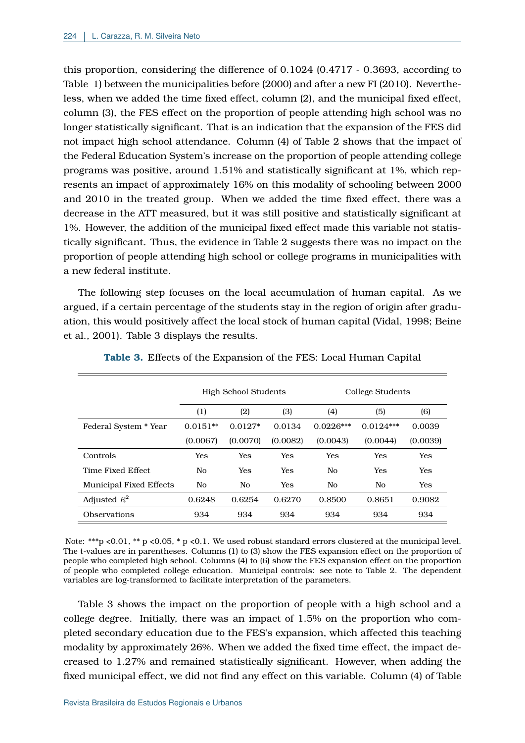this proportion, considering the difference of 0.1024 (0.4717 - 0.3693, according to Table [1\)](#page-10-0) between the municipalities before (2000) and after a new FI (2010). Nevertheless, when we added the time fixed effect, column (2), and the municipal fixed effect, column (3), the FES effect on the proportion of people attending high school was no longer statistically significant. That is an indication that the expansion of the FES did not impact high school attendance. Column (4) of Table [2](#page-11-0) shows that the impact of the Federal Education System's increase on the proportion of people attending college programs was positive, around 1.51% and statistically significant at 1%, which represents an impact of approximately 16% on this modality of schooling between 2000 and 2010 in the treated group. When we added the time fixed effect, there was a decrease in the ATT measured, but it was still positive and statistically significant at 1%. However, the addition of the municipal fixed effect made this variable not statistically significant. Thus, the evidence in Table [2](#page-11-0) suggests there was no impact on the proportion of people attending high school or college programs in municipalities with a new federal institute.

The following step focuses on the local accumulation of human capital. As we argued, if a certain percentage of the students stay in the region of origin after graduation, this would positively affect the local stock of human capital [\(Vidal, 1998;](#page-26-2) [Beine](#page-22-13) [et al., 2001\)](#page-22-13). Table [3](#page-12-0) displays the results.

<span id="page-12-0"></span>

|                                | High School Students |           |            | College Students |                |            |
|--------------------------------|----------------------|-----------|------------|------------------|----------------|------------|
|                                | (1)                  | (2)       | (3)        | (4)              | (5)            | (6)        |
| Federal System * Year          | $0.0151**$           | $0.0127*$ | 0.0134     | $0.0226***$      | $0.0124***$    | 0.0039     |
|                                | (0.0067)             | (0.0070)  | (0.0082)   | (0.0043)         | (0.0044)       | (0.0039)   |
| Controls                       | Yes                  | Yes       | Yes        | Yes              | Yes            | Yes        |
| Time Fixed Effect              | No                   | Yes       | <b>Yes</b> | No               | Yes            | <b>Yes</b> |
| <b>Municipal Fixed Effects</b> | No                   | No        | <b>Yes</b> | No               | N <sub>0</sub> | <b>Yes</b> |
| Adjusted $R^2$                 | 0.6248               | 0.6254    | 0.6270     | 0.8500           | 0.8651         | 0.9082     |
| <b>Observations</b>            | 934                  | 934       | 934        | 934              | 934            | 934        |

**Table 3.** Effects of the Expansion of the FES: Local Human Capital

Note: \*\*\*p <0.01, \*\* p <0.05, \* p <0.1. We used robust standard errors clustered at the municipal level. The t-values are in parentheses. Columns (1) to (3) show the FES expansion effect on the proportion of people who completed high school. Columns (4) to (6) show the FES expansion effect on the proportion of people who completed college education. Municipal controls: see note to Table [2.](#page-11-0) The dependent variables are log-transformed to facilitate interpretation of the parameters.

Table [3](#page-12-0) shows the impact on the proportion of people with a high school and a college degree. Initially, there was an impact of 1.5% on the proportion who completed secondary education due to the FES's expansion, which affected this teaching modality by approximately 26%. When we added the fixed time effect, the impact decreased to 1.27% and remained statistically significant. However, when adding the fixed municipal effect, we did not find any effect on this variable. Column (4) of Table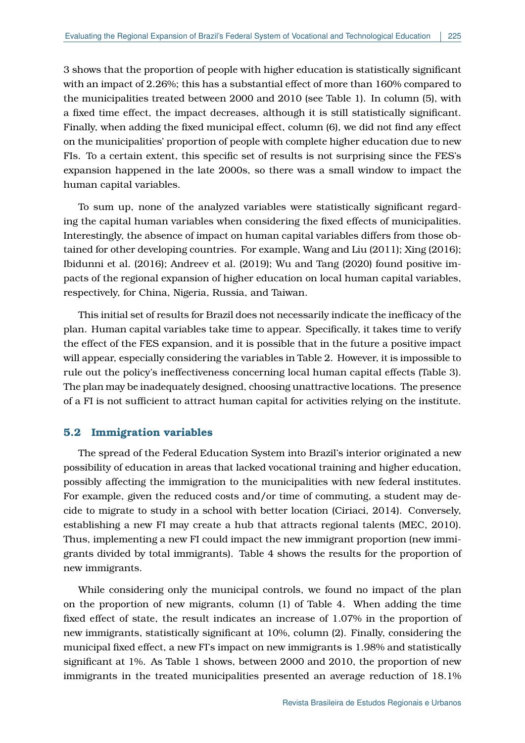[3](#page-12-0) shows that the proportion of people with higher education is statistically significant with an impact of 2.26%; this has a substantial effect of more than 160% compared to the municipalities treated between 2000 and 2010 (see Table [1\)](#page-10-0). In column (5), with a fixed time effect, the impact decreases, although it is still statistically significant. Finally, when adding the fixed municipal effect, column (6), we did not find any effect on the municipalities' proportion of people with complete higher education due to new FIs. To a certain extent, this specific set of results is not surprising since the FES's expansion happened in the late 2000s, so there was a small window to impact the human capital variables.

To sum up, none of the analyzed variables were statistically significant regarding the capital human variables when considering the fixed effects of municipalities. Interestingly, the absence of impact on human capital variables differs from those obtained for other developing countries. For example, [Wang and Liu](#page-26-3) [\(2011\)](#page-26-3); [Xing](#page-26-4) [\(2016\)](#page-26-4); [Ibidunni et al.](#page-24-12) [\(2016\)](#page-24-12); [Andreev et al.](#page-22-14) [\(2019\)](#page-22-14); [Wu and Tang](#page-26-5) [\(2020\)](#page-26-5) found positive impacts of the regional expansion of higher education on local human capital variables, respectively, for China, Nigeria, Russia, and Taiwan.

This initial set of results for Brazil does not necessarily indicate the inefficacy of the plan. Human capital variables take time to appear. Specifically, it takes time to verify the effect of the FES expansion, and it is possible that in the future a positive impact will appear, especially considering the variables in Table [2.](#page-11-0) However, it is impossible to rule out the policy's ineffectiveness concerning local human capital effects (Table [3\)](#page-12-0). The plan may be inadequately designed, choosing unattractive locations. The presence of a FI is not sufficient to attract human capital for activities relying on the institute.

## **5.2 Immigration variables**

The spread of the Federal Education System into Brazil's interior originated a new possibility of education in areas that lacked vocational training and higher education, possibly affecting the immigration to the municipalities with new federal institutes. For example, given the reduced costs and/or time of commuting, a student may decide to migrate to study in a school with better location [\(Ciriaci, 2014\)](#page-23-14). Conversely, establishing a new FI may create a hub that attracts regional talents [\(MEC, 2010\)](#page-24-2). Thus, implementing a new FI could impact the new immigrant proportion (new immigrants divided by total immigrants). Table [4](#page-14-0) shows the results for the proportion of new immigrants.

While considering only the municipal controls, we found no impact of the plan on the proportion of new migrants, column (1) of Table [4.](#page-14-0) When adding the time fixed effect of state, the result indicates an increase of 1.07% in the proportion of new immigrants, statistically significant at 10%, column (2). Finally, considering the municipal fixed effect, a new FI's impact on new immigrants is 1.98% and statistically significant at 1%. As Table 1 shows, between 2000 and 2010, the proportion of new immigrants in the treated municipalities presented an average reduction of 18.1%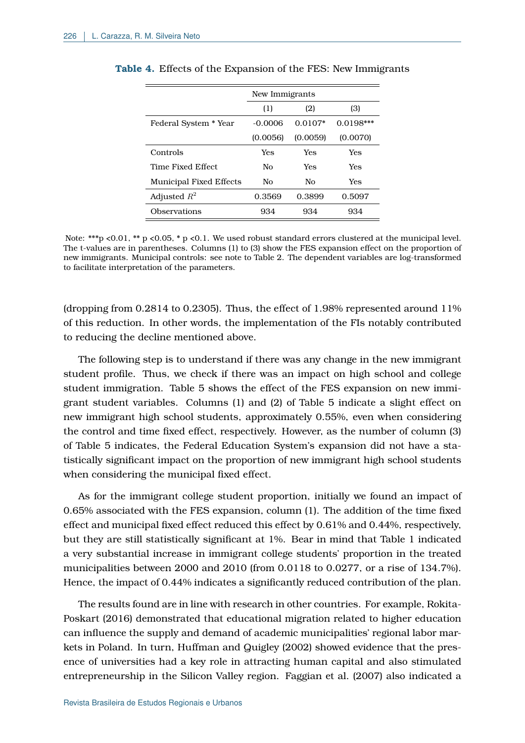|                                | New Immigrants |            |             |  |
|--------------------------------|----------------|------------|-------------|--|
|                                | (1)            | (2)        | (3)         |  |
| Federal System * Year          | $-0.0006$      | $0.0107*$  | $0.0198***$ |  |
|                                | (0.0056)       | (0.0059)   | (0.0070)    |  |
| Controls                       | Yes            | Yes        | <b>Yes</b>  |  |
| Time Fixed Effect              | Nο             | <b>Yes</b> | Yes         |  |
| <b>Municipal Fixed Effects</b> | No             | No         | Yes         |  |
| Adjusted $R^2$                 | 0.3569         | 0.3899     | 0.5097      |  |
| Observations                   | 934            | 934        | 934         |  |

<span id="page-14-0"></span>

|  |  |  |  |  |  |  | <b>Table 4.</b> Effects of the Expansion of the FES: New Immigrants |
|--|--|--|--|--|--|--|---------------------------------------------------------------------|
|--|--|--|--|--|--|--|---------------------------------------------------------------------|

Note: \*\*\*p <0.01, \*\* p <0.05, \* p <0.1. We used robust standard errors clustered at the municipal level. The t-values are in parentheses. Columns (1) to (3) show the FES expansion effect on the proportion of new immigrants. Municipal controls: see note to Table [2.](#page-11-0) The dependent variables are log-transformed to facilitate interpretation of the parameters.

(dropping from 0.2814 to 0.2305). Thus, the effect of 1.98% represented around 11% of this reduction. In other words, the implementation of the FIs notably contributed to reducing the decline mentioned above.

The following step is to understand if there was any change in the new immigrant student profile. Thus, we check if there was an impact on high school and college student immigration. Table [5](#page-15-0) shows the effect of the FES expansion on new immigrant student variables. Columns (1) and (2) of Table [5](#page-15-0) indicate a slight effect on new immigrant high school students, approximately 0.55%, even when considering the control and time fixed effect, respectively. However, as the number of column (3) of Table [5](#page-15-0) indicates, the Federal Education System's expansion did not have a statistically significant impact on the proportion of new immigrant high school students when considering the municipal fixed effect.

As for the immigrant college student proportion, initially we found an impact of 0.65% associated with the FES expansion, column (1). The addition of the time fixed effect and municipal fixed effect reduced this effect by 0.61% and 0.44%, respectively, but they are still statistically significant at 1%. Bear in mind that Table [1](#page-10-0) indicated a very substantial increase in immigrant college students' proportion in the treated municipalities between 2000 and 2010 (from 0.0118 to 0.0277, or a rise of 134.7%). Hence, the impact of 0.44% indicates a significantly reduced contribution of the plan.

The results found are in line with research in other countries. For example, [Rokita-](#page-25-12)[Poskart](#page-25-12) [\(2016\)](#page-25-12) demonstrated that educational migration related to higher education can influence the supply and demand of academic municipalities' regional labor markets in Poland. In turn, [Huffman and Quigley](#page-24-13) [\(2002\)](#page-24-13) showed evidence that the presence of universities had a key role in attracting human capital and also stimulated entrepreneurship in the Silicon Valley region. [Faggian et al.](#page-23-6) [\(2007\)](#page-23-6) also indicated a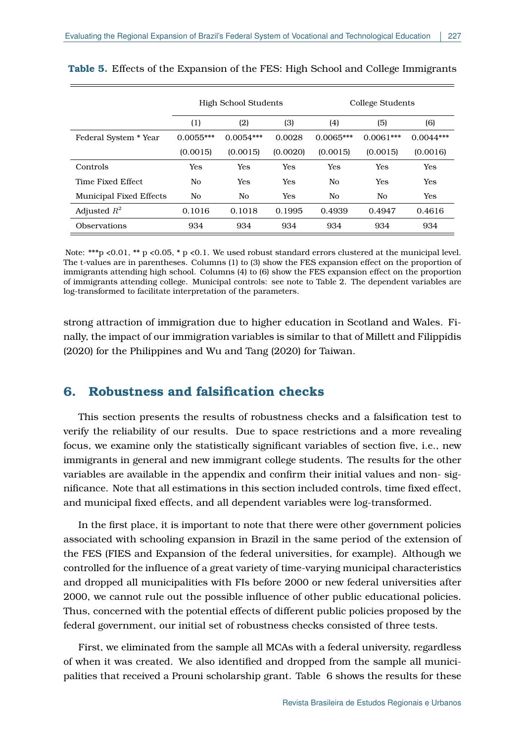|                                | High School Students |             |            | College Students |             |             |
|--------------------------------|----------------------|-------------|------------|------------------|-------------|-------------|
|                                | (1)                  | (2)         | (3)        | (4)              | (5)         | (6)         |
| Federal System * Year          | $0.0055***$          | $0.0054***$ | 0.0028     | $0.0065***$      | $0.0061***$ | $0.0044***$ |
|                                | (0.0015)             | (0.0015)    | (0.0020)   | (0.0015)         | (0.0015)    | (0.0016)    |
| Controls                       | Yes                  | Yes         | <b>Yes</b> | <b>Yes</b>       | <b>Yes</b>  | Yes         |
| Time Fixed Effect              | No                   | Yes         | Yes        | No               | Yes         | <b>Yes</b>  |
| <b>Municipal Fixed Effects</b> | No                   | No.         | Yes        | N <sub>0</sub>   | No.         | <b>Yes</b>  |
| Adjusted $R^2$                 | 0.1016               | 0.1018      | 0.1995     | 0.4939           | 0.4947      | 0.4616      |
| <b>Observations</b>            | 934                  | 934         | 934        | 934              | 934         | 934         |

<span id="page-15-0"></span>**Table 5.** Effects of the Expansion of the FES: High School and College Immigrants

Note: \*\*\*p <0.01, \*\* p <0.05, \* p <0.1. We used robust standard errors clustered at the municipal level. The t-values are in parentheses. Columns (1) to (3) show the FES expansion effect on the proportion of immigrants attending high school. Columns (4) to (6) show the FES expansion effect on the proportion of immigrants attending college. Municipal controls: see note to Table [2.](#page-11-0) The dependent variables are log-transformed to facilitate interpretation of the parameters.

strong attraction of immigration due to higher education in Scotland and Wales. Finally, the impact of our immigration variables is similar to that of [Millett and Filippidis](#page-24-14) [\(2020\)](#page-24-14) for the Philippines and [Wu and Tang](#page-26-5) [\(2020\)](#page-26-5) for Taiwan.

## **6. Robustness and falsification checks**

This section presents the results of robustness checks and a falsification test to verify the reliability of our results. Due to space restrictions and a more revealing focus, we examine only the statistically significant variables of section five, i.e., new immigrants in general and new immigrant college students. The results for the other variables are available in the appendix and confirm their initial values and non- significance. Note that all estimations in this section included controls, time fixed effect, and municipal fixed effects, and all dependent variables were log-transformed.

In the first place, it is important to note that there were other government policies associated with schooling expansion in Brazil in the same period of the extension of the FES (FIES and Expansion of the federal universities, for example). Although we controlled for the influence of a great variety of time-varying municipal characteristics and dropped all municipalities with FIs before 2000 or new federal universities after 2000, we cannot rule out the possible influence of other public educational policies. Thus, concerned with the potential effects of different public policies proposed by the federal government, our initial set of robustness checks consisted of three tests.

First, we eliminated from the sample all MCAs with a federal university, regardless of when it was created. We also identified and dropped from the sample all municipalities that received a Prouni scholarship grant. Table [6](#page-16-0) shows the results for these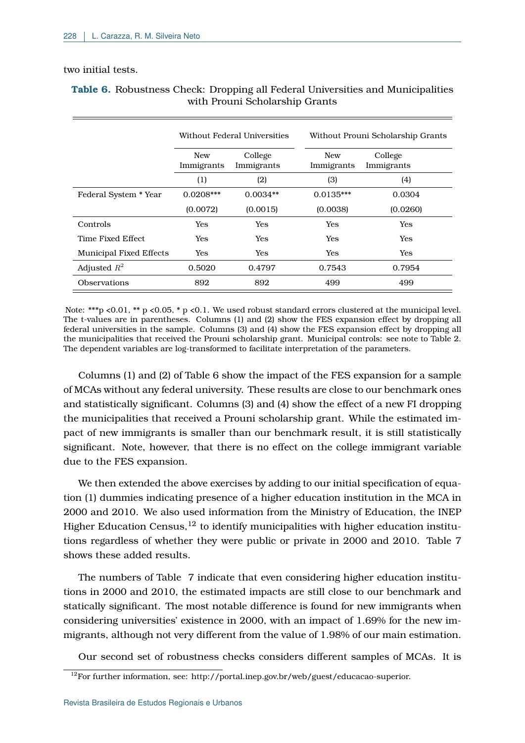### two initial tests.

|                                |                          | Without Federal Universities |                          | Without Prouni Scholarship Grants |  |  |
|--------------------------------|--------------------------|------------------------------|--------------------------|-----------------------------------|--|--|
|                                | <b>New</b><br>Immigrants | College<br>Immigrants        | <b>New</b><br>Immigrants | College<br>Immigrants             |  |  |
|                                | $\left(1\right)$         | (2)                          | (3)                      | (4)                               |  |  |
| Federal System * Year          | $0.0208***$              | $0.0034**$                   | $0.0135***$              | 0.0304                            |  |  |
|                                | (0.0072)                 | (0.0015)                     | (0.0038)                 | (0.0260)                          |  |  |
| Controls                       | Yes                      | Yes                          | Yes                      | <b>Yes</b>                        |  |  |
| Time Fixed Effect.             | Yes                      | Yes                          | Yes                      | <b>Yes</b>                        |  |  |
| <b>Municipal Fixed Effects</b> | Yes                      | Yes                          | Yes                      | <b>Yes</b>                        |  |  |
| Adjusted $R^2$                 | 0.5020                   | 0.4797                       | 0.7543                   | 0.7954                            |  |  |
| <b>Observations</b>            | 892                      | 892                          | 499                      | 499                               |  |  |

## <span id="page-16-0"></span>**Table 6.** Robustness Check: Dropping all Federal Universities and Municipalities with Prouni Scholarship Grants

Note: \*\*\*p <0.01, \*\* p <0.05, \* p <0.1. We used robust standard errors clustered at the municipal level. The t-values are in parentheses. Columns (1) and (2) show the FES expansion effect by dropping all federal universities in the sample. Columns (3) and (4) show the FES expansion effect by dropping all the municipalities that received the Prouni scholarship grant. Municipal controls: see note to Table [2.](#page-11-0) The dependent variables are log-transformed to facilitate interpretation of the parameters.

Columns (1) and (2) of Table [6](#page-16-0) show the impact of the FES expansion for a sample of MCAs without any federal university. These results are close to our benchmark ones and statistically significant. Columns (3) and (4) show the effect of a new FI dropping the municipalities that received a Prouni scholarship grant. While the estimated impact of new immigrants is smaller than our benchmark result, it is still statistically significant. Note, however, that there is no effect on the college immigrant variable due to the FES expansion.

We then extended the above exercises by adding to our initial specification of equation (1) dummies indicating presence of a higher education institution in the MCA in 2000 and 2010. We also used information from the Ministry of Education, the INEP Higher Education Census,<sup>[12](#page-0-0)</sup> to identify municipalities with higher education institutions regardless of whether they were public or private in 2000 and 2010. Table [7](#page-17-0) shows these added results.

The numbers of Table [7](#page-17-0) indicate that even considering higher education institutions in 2000 and 2010, the estimated impacts are still close to our benchmark and statically significant. The most notable difference is found for new immigrants when considering universities' existence in 2000, with an impact of 1.69% for the new immigrants, although not very different from the value of 1.98% of our main estimation.

Our second set of robustness checks considers different samples of MCAs. It is

<sup>&</sup>lt;sup>12</sup>For further information, see: http://portal.inep.gov.br/web/guest/educacao-superior.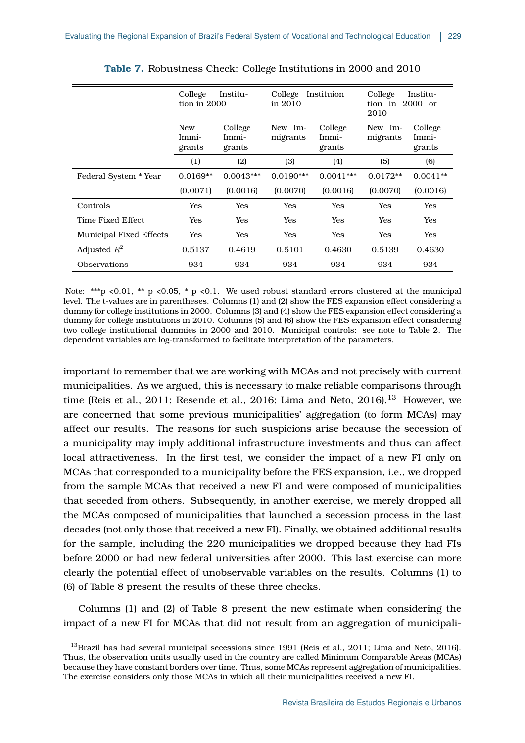<span id="page-17-0"></span>

|                                | College<br>Institu-<br>tion in $2000$ |                            | College<br>Instituion<br>in $2010$ |                            | College<br>Institu-<br>$2000$ or<br>tion in<br>2010 |                            |
|--------------------------------|---------------------------------------|----------------------------|------------------------------------|----------------------------|-----------------------------------------------------|----------------------------|
|                                | <b>New</b><br>Immi-<br>grants         | College<br>Immi-<br>grants | New Im-<br>migrants                | College<br>Immi-<br>grants | New Im-<br>migrants                                 | College<br>Immi-<br>grants |
|                                | (1)                                   | (2)                        | (3)                                | (4)                        | (5)                                                 | (6)                        |
| Federal System * Year          | $0.0169**$                            | $0.0043***$                | $0.0190***$                        | $0.0041***$                | $0.0172**$                                          | $0.0041**$                 |
|                                | (0.0071)                              | (0.0016)                   | (0.0070)                           | (0.0016)                   | (0.0070)                                            | (0.0016)                   |
| Controls                       | Yes                                   | Yes                        | <b>Yes</b>                         | <b>Yes</b>                 | Yes                                                 | Yes                        |
| Time Fixed Effect              | Yes                                   | Yes                        | <b>Yes</b>                         | Yes                        | Yes                                                 | Yes                        |
| <b>Municipal Fixed Effects</b> | Yes                                   | Yes                        | Yes                                | Yes                        | Yes                                                 | Yes                        |
| Adjusted $R^2$                 | 0.5137                                | 0.4619                     | 0.5101                             | 0.4630                     | 0.5139                                              | 0.4630                     |
| Observations                   | 934                                   | 934                        | 934                                | 934                        | 934                                                 | 934                        |

Note: \*\*\*p <0.01, \*\* p <0.05, \* p <0.1. We used robust standard errors clustered at the municipal level. The t-values are in parentheses. Columns (1) and (2) show the FES expansion effect considering a dummy for college institutions in 2000. Columns (3) and (4) show the FES expansion effect considering a dummy for college institutions in 2010. Columns (5) and (6) show the FES expansion effect considering two college institutional dummies in 2000 and 2010. Municipal controls: see note to Table [2.](#page-11-0) The dependent variables are log-transformed to facilitate interpretation of the parameters.

important to remember that we are working with MCAs and not precisely with current municipalities. As we argued, this is necessary to make reliable comparisons through time [\(Reis et al., 2011;](#page-25-13) [Resende et al., 2016;](#page-25-10) Lima and Neto,  $2016$ ).<sup>[13](#page-0-0)</sup> However, we are concerned that some previous municipalities' aggregation (to form MCAs) may affect our results. The reasons for such suspicions arise because the secession of a municipality may imply additional infrastructure investments and thus can affect local attractiveness. In the first test, we consider the impact of a new FI only on MCAs that corresponded to a municipality before the FES expansion, i.e., we dropped from the sample MCAs that received a new FI and were composed of municipalities that seceded from others. Subsequently, in another exercise, we merely dropped all the MCAs composed of municipalities that launched a secession process in the last decades (not only those that received a new FI). Finally, we obtained additional results for the sample, including the 220 municipalities we dropped because they had FIs before 2000 or had new federal universities after 2000. This last exercise can more clearly the potential effect of unobservable variables on the results. Columns (1) to (6) of Table [8](#page-18-0) present the results of these three checks.

Columns (1) and (2) of Table 8 present the new estimate when considering the impact of a new FI for MCAs that did not result from an aggregation of municipali-

<sup>&</sup>lt;sup>13</sup>Brazil has had several municipal secessions since 1991 [\(Reis et al., 2011;](#page-25-13) [Lima and Neto, 2016\)](#page-24-10). Thus, the observation units usually used in the country are called Minimum Comparable Areas (MCAs) because they have constant borders over time. Thus, some MCAs represent aggregation of municipalities. The exercise considers only those MCAs in which all their municipalities received a new FI.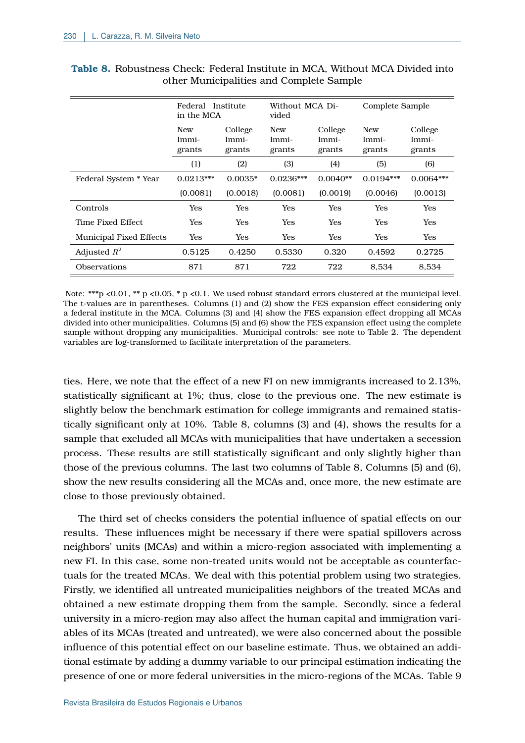|                                | Federal Institute<br>in the MCA |                            | Without MCA Di-<br>vided |                            | Complete Sample               |                            |
|--------------------------------|---------------------------------|----------------------------|--------------------------|----------------------------|-------------------------------|----------------------------|
|                                | <b>New</b><br>Immi-<br>grants   | College<br>Immi-<br>grants | New<br>Immi-<br>grants   | College<br>Immi-<br>grants | <b>New</b><br>Immi-<br>grants | College<br>Immi-<br>grants |
|                                | (1)                             | (2)                        | (3)                      | (4)                        | (5)                           | (6)                        |
| Federal System * Year          | $0.0213***$                     | $0.0035*$                  | $0.0236***$              | $0.0040**$                 | $0.0194***$                   | $0.0064***$                |
|                                | (0.0081)                        | (0.0018)                   | (0.0081)                 | (0.0019)                   | (0.0046)                      | (0.0013)                   |
| Controls                       | Yes                             | Yes                        | Yes                      | <b>Yes</b>                 | Yes                           | Yes                        |
| Time Fixed Effect              | Yes                             | Yes                        | <b>Yes</b>               | <b>Yes</b>                 | Yes                           | Yes                        |
| <b>Municipal Fixed Effects</b> | Yes                             | Yes                        | Yes                      | Yes                        | Yes                           | Yes                        |
| Adjusted $R^2$                 | 0.5125                          | 0.4250                     | 0.5330                   | 0.320                      | 0.4592                        | 0.2725                     |
| Observations                   | 871                             | 871                        | 722                      | 722                        | 8,534                         | 8,534                      |

<span id="page-18-0"></span>**Table 8.** Robustness Check: Federal Institute in MCA, Without MCA Divided into other Municipalities and Complete Sample

Note: \*\*\*p <0.01, \*\* p <0.05, \* p <0.1. We used robust standard errors clustered at the municipal level. The t-values are in parentheses. Columns (1) and (2) show the FES expansion effect considering only a federal institute in the MCA. Columns (3) and (4) show the FES expansion effect dropping all MCAs divided into other municipalities. Columns (5) and (6) show the FES expansion effect using the complete sample without dropping any municipalities. Municipal controls: see note to Table [2.](#page-11-0) The dependent variables are log-transformed to facilitate interpretation of the parameters.

ties. Here, we note that the effect of a new FI on new immigrants increased to 2.13%, statistically significant at 1%; thus, close to the previous one. The new estimate is slightly below the benchmark estimation for college immigrants and remained statistically significant only at 10%. Table [8,](#page-18-0) columns (3) and (4), shows the results for a sample that excluded all MCAs with municipalities that have undertaken a secession process. These results are still statistically significant and only slightly higher than those of the previous columns. The last two columns of Table [8,](#page-18-0) Columns (5) and (6), show the new results considering all the MCAs and, once more, the new estimate are close to those previously obtained.

The third set of checks considers the potential influence of spatial effects on our results. These influences might be necessary if there were spatial spillovers across neighbors' units (MCAs) and within a micro-region associated with implementing a new FI. In this case, some non-treated units would not be acceptable as counterfactuals for the treated MCAs. We deal with this potential problem using two strategies. Firstly, we identified all untreated municipalities neighbors of the treated MCAs and obtained a new estimate dropping them from the sample. Secondly, since a federal university in a micro-region may also affect the human capital and immigration variables of its MCAs (treated and untreated), we were also concerned about the possible influence of this potential effect on our baseline estimate. Thus, we obtained an additional estimate by adding a dummy variable to our principal estimation indicating the presence of one or more federal universities in the micro-regions of the MCAs. Table [9](#page-19-0)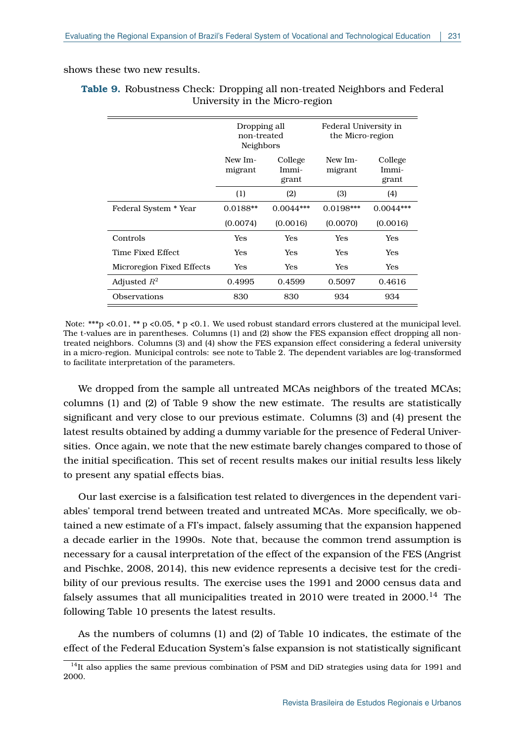#### <span id="page-19-0"></span>shows these two new results.

|                           | Dropping all<br>non-treated<br>Neighbors |                           | Federal University in<br>the Micro-region |                           |
|---------------------------|------------------------------------------|---------------------------|-------------------------------------------|---------------------------|
|                           | New Im-<br>migrant                       | College<br>Immi-<br>grant | New Im-<br>migrant                        | College<br>Immi-<br>grant |
|                           | (1)                                      | (2)                       | (3)                                       | (4)                       |
| Federal System * Year     | $0.0188**$                               | $0.0044***$               | $0.0198***$                               | $0.0044***$               |
|                           | (0.0074)                                 | (0.0016)                  | (0.0070)                                  | (0.0016)                  |
| Controls                  | Yes                                      | Yes                       | Yes                                       | Yes                       |
| Time Fixed Effect         | Yes                                      | <b>Yes</b>                | Yes                                       | Yes                       |
| Microregion Fixed Effects | Yes                                      | Yes                       | Yes                                       | Yes                       |
| Adjusted $R^2$            | 0.4995                                   | 0.4599                    | 0.5097                                    | 0.4616                    |
| Observations              | 830                                      | 830                       | 934                                       | 934                       |

**Table 9.** Robustness Check: Dropping all non-treated Neighbors and Federal University in the Micro-region

Note: \*\*\*p <0.01, \*\* p <0.05, \* p <0.1. We used robust standard errors clustered at the municipal level. The t-values are in parentheses. Columns (1) and (2) show the FES expansion effect dropping all nontreated neighbors. Columns (3) and (4) show the FES expansion effect considering a federal university in a micro-region. Municipal controls: see note to Table [2.](#page-11-0) The dependent variables are log-transformed to facilitate interpretation of the parameters.

We dropped from the sample all untreated MCAs neighbors of the treated MCAs; columns (1) and (2) of Table [9](#page-19-0) show the new estimate. The results are statistically significant and very close to our previous estimate. Columns (3) and (4) present the latest results obtained by adding a dummy variable for the presence of Federal Universities. Once again, we note that the new estimate barely changes compared to those of the initial specification. This set of recent results makes our initial results less likely to present any spatial effects bias.

Our last exercise is a falsification test related to divergences in the dependent variables' temporal trend between treated and untreated MCAs. More specifically, we obtained a new estimate of a FI's impact, falsely assuming that the expansion happened a decade earlier in the 1990s. Note that, because the common trend assumption is necessary for a causal interpretation of the effect of the expansion of the FES [\(Angrist](#page-22-9) [and Pischke, 2008,](#page-22-9) [2014\)](#page-22-10), this new evidence represents a decisive test for the credibility of our previous results. The exercise uses the 1991 and 2000 census data and falsely assumes that all municipalities treated in 2010 were treated in  $2000$ .<sup>[14](#page-0-0)</sup> The following Table [10](#page-20-0) presents the latest results.

As the numbers of columns (1) and (2) of Table [10](#page-20-0) indicates, the estimate of the effect of the Federal Education System's false expansion is not statistically significant

 $14$ It also applies the same previous combination of PSM and DiD strategies using data for 1991 and 2000.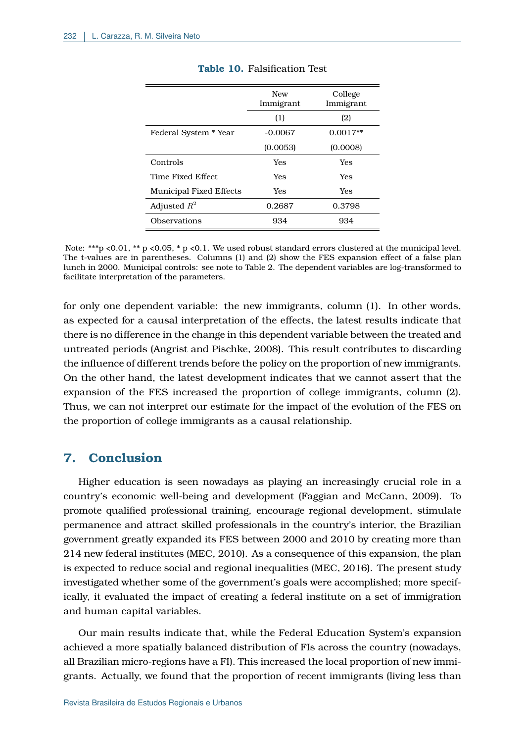<span id="page-20-0"></span>

|                                | <b>New</b><br>Immigrant | College<br>Immigrant |
|--------------------------------|-------------------------|----------------------|
|                                | (1)                     | (2)                  |
| Federal System * Year          | $-0.0067$               | $0.0017**$           |
|                                | (0.0053)                | (0.0008)             |
| Controls                       | Yes                     | Yes                  |
| Time Fixed Effect              | Yes                     | Yes                  |
| <b>Municipal Fixed Effects</b> | Yes                     | Yes                  |
| Adjusted $R^2$                 | 0.2687                  | 0.3798               |
| <b>Observations</b>            | 934                     | 934                  |

#### **Table 10.** Falsification Test

Note: \*\*\*p <0.01, \*\* p <0.05, \* p <0.1. We used robust standard errors clustered at the municipal level. The t-values are in parentheses. Columns (1) and (2) show the FES expansion effect of a false plan lunch in 2000. Municipal controls: see note to Table [2.](#page-11-0) The dependent variables are log-transformed to facilitate interpretation of the parameters.

for only one dependent variable: the new immigrants, column (1). In other words, as expected for a causal interpretation of the effects, the latest results indicate that there is no difference in the change in this dependent variable between the treated and untreated periods [\(Angrist and Pischke, 2008\)](#page-22-9). This result contributes to discarding the influence of different trends before the policy on the proportion of new immigrants. On the other hand, the latest development indicates that we cannot assert that the expansion of the FES increased the proportion of college immigrants, column (2). Thus, we can not interpret our estimate for the impact of the evolution of the FES on the proportion of college immigrants as a causal relationship.

## **7. Conclusion**

Higher education is seen nowadays as playing an increasingly crucial role in a country's economic well-being and development [\(Faggian and McCann, 2009\)](#page-23-7). To promote qualified professional training, encourage regional development, stimulate permanence and attract skilled professionals in the country's interior, the Brazilian government greatly expanded its FES between 2000 and 2010 by creating more than 214 new federal institutes [\(MEC, 2010\)](#page-24-2). As a consequence of this expansion, the plan is expected to reduce social and regional inequalities [\(MEC, 2016\)](#page-24-7). The present study investigated whether some of the government's goals were accomplished; more specifically, it evaluated the impact of creating a federal institute on a set of immigration and human capital variables.

Our main results indicate that, while the Federal Education System's expansion achieved a more spatially balanced distribution of FIs across the country (nowadays, all Brazilian micro-regions have a FI). This increased the local proportion of new immigrants. Actually, we found that the proportion of recent immigrants (living less than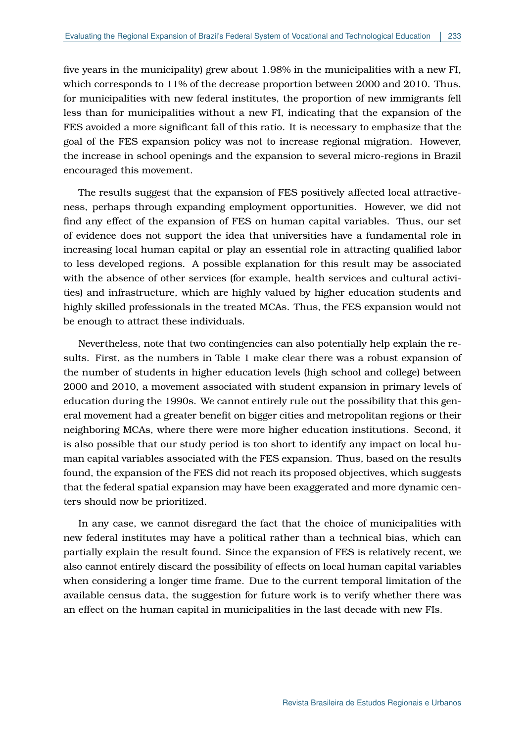five years in the municipality) grew about 1.98% in the municipalities with a new FI, which corresponds to 11% of the decrease proportion between 2000 and 2010. Thus, for municipalities with new federal institutes, the proportion of new immigrants fell less than for municipalities without a new FI, indicating that the expansion of the FES avoided a more significant fall of this ratio. It is necessary to emphasize that the goal of the FES expansion policy was not to increase regional migration. However, the increase in school openings and the expansion to several micro-regions in Brazil encouraged this movement.

The results suggest that the expansion of FES positively affected local attractiveness, perhaps through expanding employment opportunities. However, we did not find any effect of the expansion of FES on human capital variables. Thus, our set of evidence does not support the idea that universities have a fundamental role in increasing local human capital or play an essential role in attracting qualified labor to less developed regions. A possible explanation for this result may be associated with the absence of other services (for example, health services and cultural activities) and infrastructure, which are highly valued by higher education students and highly skilled professionals in the treated MCAs. Thus, the FES expansion would not be enough to attract these individuals.

Nevertheless, note that two contingencies can also potentially help explain the results. First, as the numbers in Table 1 make clear there was a robust expansion of the number of students in higher education levels (high school and college) between 2000 and 2010, a movement associated with student expansion in primary levels of education during the 1990s. We cannot entirely rule out the possibility that this general movement had a greater benefit on bigger cities and metropolitan regions or their neighboring MCAs, where there were more higher education institutions. Second, it is also possible that our study period is too short to identify any impact on local human capital variables associated with the FES expansion. Thus, based on the results found, the expansion of the FES did not reach its proposed objectives, which suggests that the federal spatial expansion may have been exaggerated and more dynamic centers should now be prioritized.

In any case, we cannot disregard the fact that the choice of municipalities with new federal institutes may have a political rather than a technical bias, which can partially explain the result found. Since the expansion of FES is relatively recent, we also cannot entirely discard the possibility of effects on local human capital variables when considering a longer time frame. Due to the current temporal limitation of the available census data, the suggestion for future work is to verify whether there was an effect on the human capital in municipalities in the last decade with new FIs.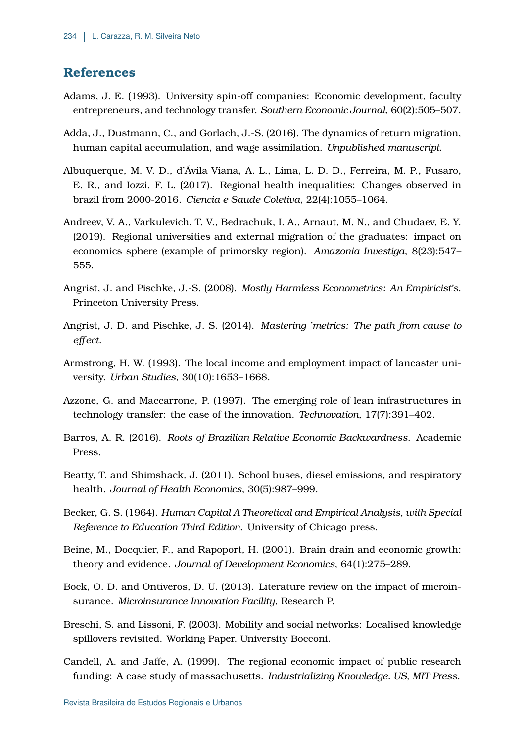## **References**

- <span id="page-22-5"></span>Adams, J. E. (1993). University spin-off companies: Economic development, faculty entrepreneurs, and technology transfer. *Southern Economic Journal*, 60(2):505–507.
- <span id="page-22-1"></span>Adda, J., Dustmann, C., and Gorlach, J.-S. (2016). The dynamics of return migration, human capital accumulation, and wage assimilation. *Unpublished manuscript*.
- <span id="page-22-12"></span>Albuquerque, M. V. D., d'Ávila Viana, A. L., Lima, L. D. D., Ferreira, M. P., Fusaro, E. R., and Iozzi, F. L. (2017). Regional health inequalities: Changes observed in brazil from 2000-2016. *Ciencia e Saude Coletiva*, 22(4):1055–1064.
- <span id="page-22-14"></span>Andreev, V. A., Varkulevich, T. V., Bedrachuk, I. A., Arnaut, M. N., and Chudaev, E. Y. (2019). Regional universities and external migration of the graduates: impact on economics sphere (example of primorsky region). *Amazonia Investiga*, 8(23):547– 555.
- <span id="page-22-9"></span>Angrist, J. and Pischke, J.-S. (2008). *Mostly Harmless Econometrics: An Empiricist's*. Princeton University Press.
- <span id="page-22-10"></span>Angrist, J. D. and Pischke, J. S. (2014). *Mastering 'metrics: The path from cause to effect*.
- <span id="page-22-3"></span>Armstrong, H. W. (1993). The local income and employment impact of lancaster university. *Urban Studies*, 30(10):1653–1668.
- <span id="page-22-6"></span>Azzone, G. and Maccarrone, P. (1997). The emerging role of lean infrastructures in technology transfer: the case of the innovation. *Technovation*, 17(7):391–402.
- <span id="page-22-0"></span>Barros, A. R. (2016). *Roots of Brazilian Relative Economic Backwardness*. Academic **Press**
- <span id="page-22-8"></span>Beatty, T. and Shimshack, J. (2011). School buses, diesel emissions, and respiratory health. *Journal of Health Economics*, 30(5):987–999.
- <span id="page-22-2"></span>Becker, G. S. (1964). *Human Capital A Theoretical and Empirical Analysis, with Special Reference to Education Third Edition*. University of Chicago press.
- <span id="page-22-13"></span>Beine, M., Docquier, F., and Rapoport, H. (2001). Brain drain and economic growth: theory and evidence. *Journal of Development Economics*, 64(1):275–289.
- <span id="page-22-11"></span>Bock, O. D. and Ontiveros, D. U. (2013). Literature review on the impact of microinsurance. *Microinsurance Innovation Facility*, Research P.
- <span id="page-22-4"></span>Breschi, S. and Lissoni, F. (2003). Mobility and social networks: Localised knowledge spillovers revisited. Working Paper. University Bocconi.
- <span id="page-22-7"></span>Candell, A. and Jaffe, A. (1999). The regional economic impact of public research funding: A case study of massachusetts. *Industrializing Knowledge. US, MIT Press*.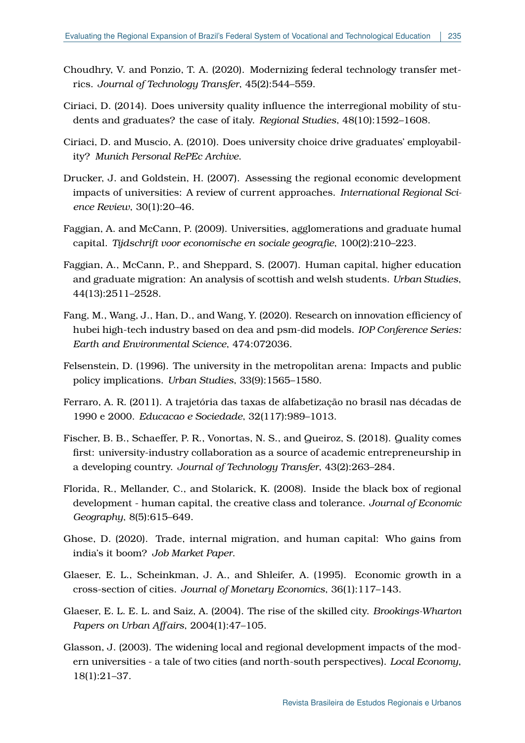- <span id="page-23-9"></span>Choudhry, V. and Ponzio, T. A. (2020). Modernizing federal technology transfer metrics. *Journal of Technology Transfer*, 45(2):544–559.
- <span id="page-23-14"></span>Ciriaci, D. (2014). Does university quality influence the interregional mobility of students and graduates? the case of italy. *Regional Studies*, 48(10):1592–1608.
- <span id="page-23-5"></span>Ciriaci, D. and Muscio, A. (2010). Does university choice drive graduates' employability? *Munich Personal RePEc Archive*.
- <span id="page-23-4"></span>Drucker, J. and Goldstein, H. (2007). Assessing the regional economic development impacts of universities: A review of current approaches. *International Regional Science Review*, 30(1):20–46.
- <span id="page-23-7"></span>Faggian, A. and McCann, P. (2009). Universities, agglomerations and graduate humal capital. *Tijdschrift voor economische en sociale geografie*, 100(2):210–223.
- <span id="page-23-6"></span>Faggian, A., McCann, P., and Sheppard, S. (2007). Human capital, higher education and graduate migration: An analysis of scottish and welsh students. *Urban Studies*, 44(13):2511–2528.
- <span id="page-23-12"></span>Fang, M., Wang, J., Han, D., and Wang, Y. (2020). Research on innovation efficiency of hubei high-tech industry based on dea and psm-did models. *IOP Conference Series: Earth and Environmental Science*, 474:072036.
- <span id="page-23-10"></span>Felsenstein, D. (1996). The university in the metropolitan arena: Impacts and public policy implications. *Urban Studies*, 33(9):1565–1580.
- <span id="page-23-13"></span>Ferraro, A. R. (2011). A trajetória das taxas de alfabetização no brasil nas décadas de 1990 e 2000. *Educacao e Sociedade*, 32(117):989–1013.
- <span id="page-23-8"></span>Fischer, B. B., Schaeffer, P. R., Vonortas, N. S., and Queiroz, S. (2018). Quality comes first: university-industry collaboration as a source of academic entrepreneurship in a developing country. *Journal of Technology Transfer*, 43(2):263–284.
- <span id="page-23-1"></span>Florida, R., Mellander, C., and Stolarick, K. (2008). Inside the black box of regional development - human capital, the creative class and tolerance. *Journal of Economic Geography*, 8(5):615–649.
- <span id="page-23-2"></span>Ghose, D. (2020). Trade, internal migration, and human capital: Who gains from india's it boom? *Job Market Paper*.
- <span id="page-23-0"></span>Glaeser, E. L., Scheinkman, J. A., and Shleifer, A. (1995). Economic growth in a cross-section of cities. *Journal of Monetary Economics*, 36(1):117–143.
- <span id="page-23-3"></span>Glaeser, E. L. E. L. and Saiz, A. (2004). The rise of the skilled city. *Brookings-Wharton Papers on Urban Affairs*, 2004(1):47–105.
- <span id="page-23-11"></span>Glasson, J. (2003). The widening local and regional development impacts of the modern universities - a tale of two cities (and north-south perspectives). *Local Economy*, 18(1):21–37.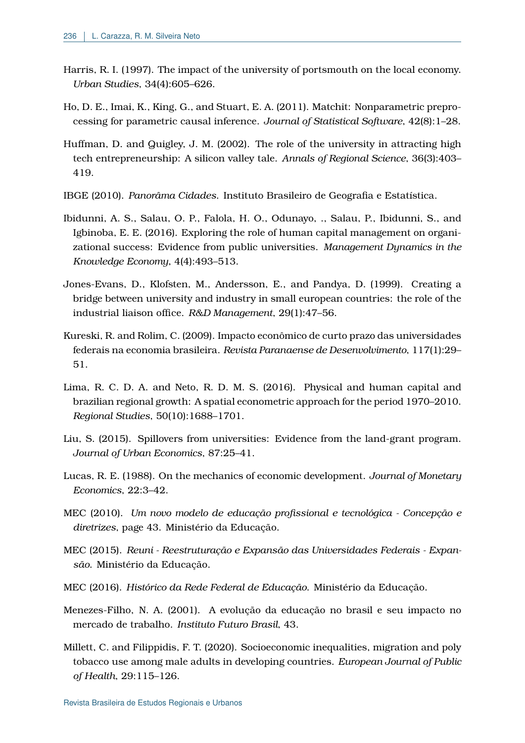- <span id="page-24-5"></span>Harris, R. I. (1997). The impact of the university of portsmouth on the local economy. *Urban Studies*, 34(4):605–626.
- <span id="page-24-9"></span>Ho, D. E., Imai, K., King, G., and Stuart, E. A. (2011). Matchit: Nonparametric preprocessing for parametric causal inference. *Journal of Statistical Software*, 42(8):1–28.
- <span id="page-24-13"></span>Huffman, D. and Quigley, J. M. (2002). The role of the university in attracting high tech entrepreneurship: A silicon valley tale. *Annals of Regional Science*, 36(3):403– 419.
- <span id="page-24-0"></span>IBGE (2010). *Panorâma Cidades*. Instituto Brasileiro de Geografia e Estatística.
- <span id="page-24-12"></span>Ibidunni, A. S., Salau, O. P., Falola, H. O., Odunayo, ., Salau, P., Ibidunni, S., and Igbinoba, E. E. (2016). Exploring the role of human capital management on organizational success: Evidence from public universities. *Management Dynamics in the Knowledge Economy*, 4(4):493–513.
- <span id="page-24-4"></span>Jones-Evans, D., Klofsten, M., Andersson, E., and Pandya, D. (1999). Creating a bridge between university and industry in small european countries: the role of the industrial liaison office. *R&D Management*, 29(1):47–56.
- <span id="page-24-6"></span>Kureski, R. and Rolim, C. (2009). Impacto econômico de curto prazo das universidades federais na economia brasileira. *Revista Paranaense de Desenvolvimento*, 117(1):29– 51.
- <span id="page-24-10"></span>Lima, R. C. D. A. and Neto, R. D. M. S. (2016). Physical and human capital and brazilian regional growth: A spatial econometric approach for the period 1970–2010. *Regional Studies*, 50(10):1688–1701.
- <span id="page-24-8"></span>Liu, S. (2015). Spillovers from universities: Evidence from the land-grant program. *Journal of Urban Economics*, 87:25–41.
- <span id="page-24-3"></span>Lucas, R. E. (1988). On the mechanics of economic development. *Journal of Monetary Economics*, 22:3–42.
- <span id="page-24-2"></span>MEC (2010). *Um novo modelo de educação profissional e tecnológica - Concepção e diretrizes*, page 43. Ministério da Educação.
- <span id="page-24-11"></span>MEC (2015). *Reuni - Reestruturação e Expansão das Universidades Federais - Expansão*. Ministério da Educação.
- <span id="page-24-7"></span>MEC (2016). *Histórico da Rede Federal de Educação*. Ministério da Educação.
- <span id="page-24-1"></span>Menezes-Filho, N. A. (2001). A evolução da educação no brasil e seu impacto no mercado de trabalho. *Instituto Futuro Brasil*, 43.
- <span id="page-24-14"></span>Millett, C. and Filippidis, F. T. (2020). Socioeconomic inequalities, migration and poly tobacco use among male adults in developing countries. *European Journal of Public of Health*, 29:115–126.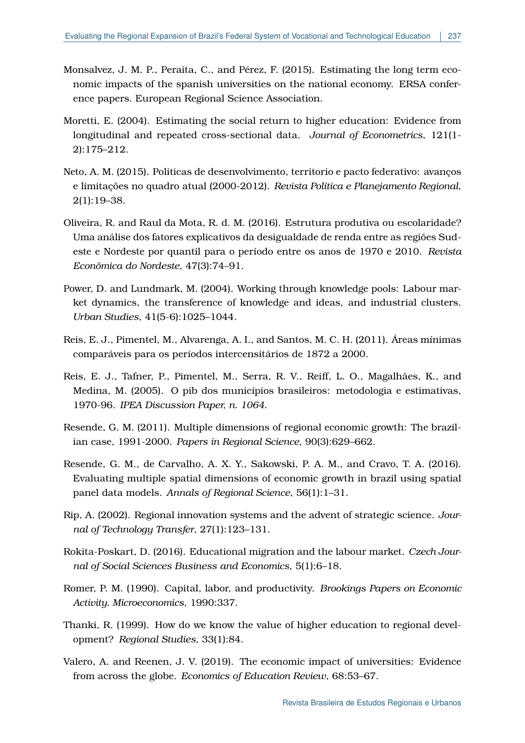- <span id="page-25-4"></span>Monsalvez, J. M. P., Peraita, C., and Pérez, F. (2015). Estimating the long term economic impacts of the spanish universities on the national economy. ERSA conference papers. European Regional Science Association.
- <span id="page-25-3"></span>Moretti, E. (2004). Estimating the social return to higher education: Evidence from longitudinal and repeated cross-sectional data. *Journal of Econometrics*, 121(1- 2):175–212.
- <span id="page-25-11"></span>Neto, A. M. (2015). Politicas de desenvolvimento, territorio e pacto federativo: avanços e limitações no quadro atual (2000-2012). *Revista Política e Planejamento Regional*, 2(1):19–38.
- <span id="page-25-0"></span>Oliveira, R. and Raul da Mota, R. d. M. (2016). Estrutura produtiva ou escolaridade? Uma análise dos fatores explicativos da desigualdade de renda entre as regiões Sudeste e Nordeste por quantil para o período entre os anos de 1970 e 2010. *Revista Econômica do Nordeste*, 47(3):74–91.
- <span id="page-25-5"></span>Power, D. and Lundmark, M. (2004). Working through knowledge pools: Labour market dynamics, the transference of knowledge and ideas, and industrial clusters. *Urban Studies*, 41(5-6):1025–1044.
- <span id="page-25-13"></span>Reis, E. J., Pimentel, M., Alvarenga, A. I., and Santos, M. C. H. (2011). Áreas mínimas comparáveis para os períodos intercensitários de 1872 a 2000.
- <span id="page-25-8"></span>Reis, E. J., Tafner, P., Pimentel, M., Serra, R. V., Reiff, L. O., Magalhães, K., and Medina, M. (2005). O pib dos municípios brasileiros: metodologia e estimativas, 1970-96. *IPEA Discussion Paper, n. 1064*.
- <span id="page-25-9"></span>Resende, G. M. (2011). Multiple dimensions of regional economic growth: The brazilian case, 1991-2000. *Papers in Regional Science*, 90(3):629–662.
- <span id="page-25-10"></span>Resende, G. M., de Carvalho, A. X. Y., Sakowski, P. A. M., and Cravo, T. A. (2016). Evaluating multiple spatial dimensions of economic growth in brazil using spatial panel data models. *Annals of Regional Science*, 56(1):1–31.
- <span id="page-25-6"></span>Rip, A. (2002). Regional innovation systems and the advent of strategic science. *Journal of Technology Transfer*, 27(1):123–131.
- <span id="page-25-12"></span>Rokita-Poskart, D. (2016). Educational migration and the labour market. *Czech Journal of Social Sciences Business and Economics*, 5(1):6–18.
- <span id="page-25-2"></span>Romer, P. M. (1990). Capital, labor, and productivity. *Brookings Papers on Economic Activity. Microeconomics*, 1990:337.
- <span id="page-25-7"></span>Thanki, R. (1999). How do we know the value of higher education to regional development? *Regional Studies*, 33(1):84.
- <span id="page-25-1"></span>Valero, A. and Reenen, J. V. (2019). The economic impact of universities: Evidence from across the globe. *Economics of Education Review*, 68:53–67.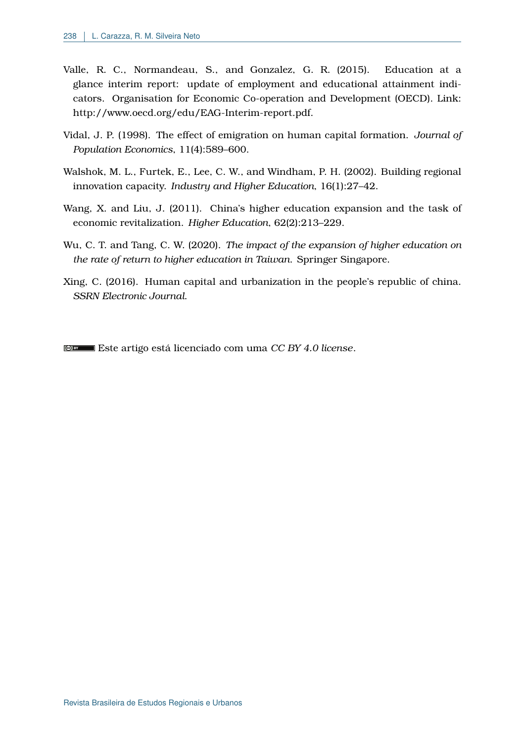- <span id="page-26-0"></span>Valle, R. C., Normandeau, S., and Gonzalez, G. R. (2015). Education at a glance interim report: update of employment and educational attainment indicators. Organisation for Economic Co-operation and Development (OECD). Link: http://www.oecd.org/edu/EAG-Interim-report.pdf.
- <span id="page-26-2"></span>Vidal, J. P. (1998). The effect of emigration on human capital formation. *Journal of Population Economics*, 11(4):589–600.
- <span id="page-26-1"></span>Walshok, M. L., Furtek, E., Lee, C. W., and Windham, P. H. (2002). Building regional innovation capacity. *Industry and Higher Education*, 16(1):27–42.
- <span id="page-26-3"></span>Wang, X. and Liu, J. (2011). China's higher education expansion and the task of economic revitalization. *Higher Education*, 62(2):213–229.
- <span id="page-26-5"></span>Wu, C. T. and Tang, C. W. (2020). *The impact of the expansion of higher education on the rate of return to higher education in Taiwan*. Springer Singapore.
- <span id="page-26-4"></span>Xing, C. (2016). Human capital and urbanization in the people's republic of china. *SSRN Electronic Journal*.

Este artigo está licenciado com uma *[CC BY 4.0 license](https://creativecommons.org/licenses/by/4.0/)*.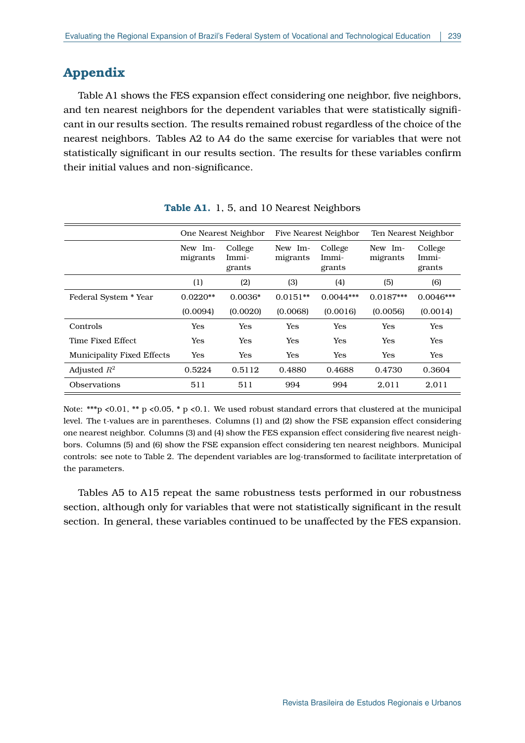## **Appendix**

Table A1 shows the FES expansion effect considering one neighbor, five neighbors, and ten nearest neighbors for the dependent variables that were statistically significant in our results section. The results remained robust regardless of the choice of the nearest neighbors. Tables A2 to A4 do the same exercise for variables that were not statistically significant in our results section. The results for these variables confirm their initial values and non-significance.

|                                   |                     | One Nearest Neighbor       | <b>Five Nearest Neighbor</b> |                            | Ten Nearest Neighbor |                            |
|-----------------------------------|---------------------|----------------------------|------------------------------|----------------------------|----------------------|----------------------------|
|                                   | New Im-<br>migrants | College<br>Immi-<br>grants | New Im-<br>migrants          | College<br>Immi-<br>grants | New Im-<br>migrants  | College<br>Immi-<br>grants |
|                                   | (1)                 | (2)                        | (3)                          | (4)                        | (5)                  | (6)                        |
| Federal System * Year             | $0.0220**$          | $0.0036*$                  | $0.0151**$                   | $0.0044***$                | $0.0187***$          | $0.0046***$                |
|                                   | (0.0094)            | (0.0020)                   | (0.0068)                     | (0.0016)                   | (0.0056)             | (0.0014)                   |
| Controls                          | Yes                 | Yes                        | <b>Yes</b>                   | <b>Yes</b>                 | Yes                  | Yes                        |
| Time Fixed Effect                 | Yes                 | Yes                        | Yes                          | <b>Yes</b>                 | Yes                  | Yes                        |
| <b>Municipality Fixed Effects</b> | Yes                 | Yes                        | Yes                          | Yes                        | Yes                  | Yes                        |
| Adjusted $R^2$                    | 0.5224              | 0.5112                     | 0.4880                       | 0.4688                     | 0.4730               | 0.3604                     |
| <b>Observations</b>               | 511                 | 511                        | 994                          | 994                        | 2,011                | 2,011                      |
|                                   |                     |                            |                              |                            |                      |                            |

**Table A1.** 1, 5, and 10 Nearest Neighbors

Note: \*\*\*p <0.01, \*\* p <0.05, \* p <0.1. We used robust standard errors that clustered at the municipal level. The t-values are in parentheses. Columns (1) and (2) show the FSE expansion effect considering one nearest neighbor. Columns (3) and (4) show the FES expansion effect considering five nearest neighbors. Columns (5) and (6) show the FSE expansion effect considering ten nearest neighbors. Municipal controls: see note to Table [2.](#page-11-0) The dependent variables are log-transformed to facilitate interpretation of the parameters.

Tables A5 to A15 repeat the same robustness tests performed in our robustness section, although only for variables that were not statistically significant in the result section. In general, these variables continued to be unaffected by the FES expansion.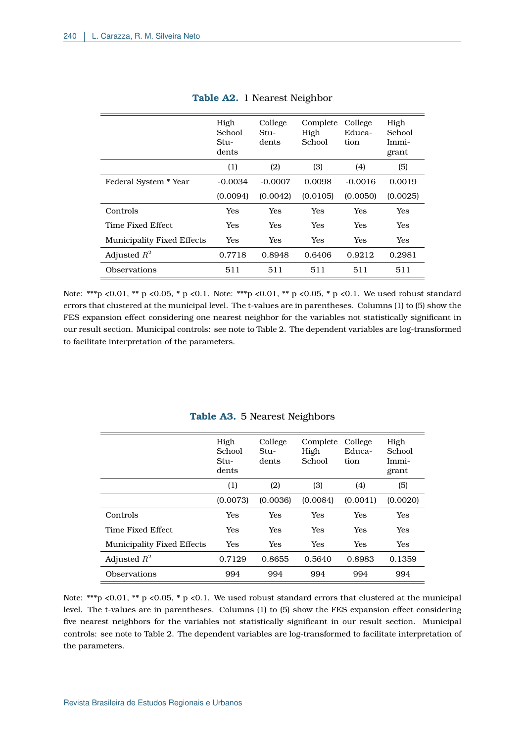|                                   | High<br>School<br>$Stu-$<br>dents | College<br>$Stu-$<br>dents | Complete<br>High<br>School | College<br>Educa-<br>tion | High<br>School<br>Immi-<br>grant |
|-----------------------------------|-----------------------------------|----------------------------|----------------------------|---------------------------|----------------------------------|
|                                   | (1)                               | (2)                        | (3)                        | (4)                       | (5)                              |
| Federal System * Year             | $-0.0034$                         | $-0.0007$                  | 0.0098                     | $-0.0016$                 | 0.0019                           |
|                                   | (0.0094)                          | (0.0042)                   | (0.0105)                   | (0.0050)                  | (0.0025)                         |
| Controls                          | Yes                               | Yes                        | Yes                        | Yes                       | Yes                              |
| Time Fixed Effect                 | Yes                               | Yes                        | Yes                        | Yes                       | Yes                              |
| <b>Municipality Fixed Effects</b> | Yes                               | <b>Yes</b>                 | Yes                        | Yes                       | Yes                              |
| Adjusted $R^2$                    | 0.7718                            | 0.8948                     | 0.6406                     | 0.9212                    | 0.2981                           |
| Observations                      | 511                               | 511                        | 511                        | 511                       | 511                              |

## **Table A2.** 1 Nearest Neighbor

Note: \*\*\*p <0.01, \*\* p <0.05, \* p <0.1. Note: \*\*\*p <0.01, \*\* p <0.05, \* p <0.1. We used robust standard errors that clustered at the municipal level. The t-values are in parentheses. Columns (1) to (5) show the FES expansion effect considering one nearest neighbor for the variables not statistically significant in our result section. Municipal controls: see note to Table [2.](#page-11-0) The dependent variables are log-transformed to facilitate interpretation of the parameters.

|                                   | High<br>School<br>$Stu-$<br>dents | College<br>$Stu-$<br>dents | Complete<br>High<br>School | College<br>Educa-<br>tion | High<br>School<br>Immi-<br>grant |
|-----------------------------------|-----------------------------------|----------------------------|----------------------------|---------------------------|----------------------------------|
|                                   | (1)                               | (2)                        | (3)                        | (4)                       | (5)                              |
|                                   | (0.0073)                          | (0.0036)                   | (0.0084)                   | (0.0041)                  | (0.0020)                         |
| Controls                          | Yes                               | Yes                        | Yes                        | <b>Yes</b>                | Yes                              |
| Time Fixed Effect                 | Yes                               | Yes                        | Yes                        | <b>Yes</b>                | Yes                              |
| <b>Municipality Fixed Effects</b> | Yes                               | Yes                        | Yes                        | <b>Yes</b>                | Yes                              |
| Adjusted $R^2$                    | 0.7129                            | 0.8655                     | 0.5640                     | 0.8983                    | 0.1359                           |
| Observations                      | 994                               | 994                        | 994                        | 994                       | 994                              |

### **Table A3.** 5 Nearest Neighbors

Note: \*\*\*p <0.01, \*\* p <0.05, \* p <0.1. We used robust standard errors that clustered at the municipal level. The t-values are in parentheses. Columns (1) to (5) show the FES expansion effect considering five nearest neighbors for the variables not statistically significant in our result section. Municipal controls: see note to Table [2.](#page-11-0) The dependent variables are log-transformed to facilitate interpretation of the parameters.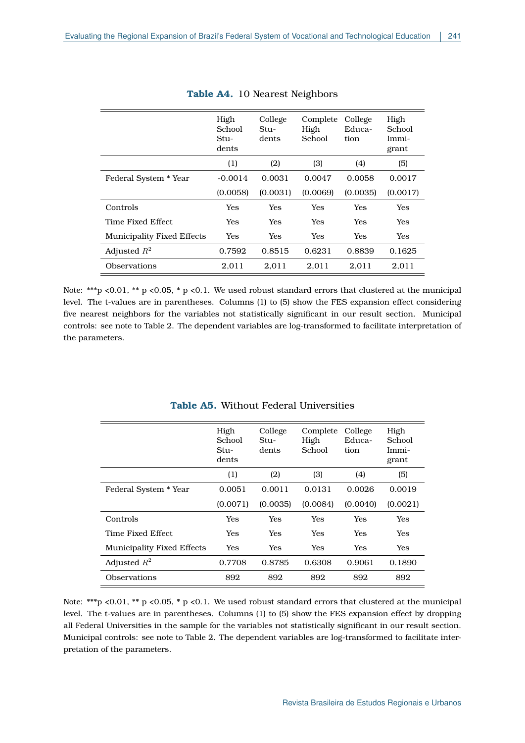|                                   | High<br>School<br>$Stu-$<br>dents | College<br>Stu-<br>dents | Complete<br>High<br>School | College<br>Educa-<br>tion | High<br>School<br>Immi-<br>grant |
|-----------------------------------|-----------------------------------|--------------------------|----------------------------|---------------------------|----------------------------------|
|                                   | (1)                               | (2)                      | (3)                        | (4)                       | (5)                              |
| Federal System * Year             | $-0.0014$                         | 0.0031                   | 0.0047                     | 0.0058                    | 0.0017                           |
|                                   | (0.0058)                          | (0.0031)                 | (0.0069)                   | (0.0035)                  | (0.0017)                         |
| Controls                          | Yes                               | Yes                      | Yes                        | Yes                       | Yes                              |
| Time Fixed Effect.                | Yes                               | Yes                      | Yes                        | Yes                       | Yes                              |
| <b>Municipality Fixed Effects</b> | Yes                               | Yes                      | <b>Yes</b>                 | Yes                       | Yes                              |
| Adjusted $R^2$                    | 0.7592                            | 0.8515                   | 0.6231                     | 0.8839                    | 0.1625                           |
| Observations                      | 2,011                             | 2.011                    | 2,011                      | 2.011                     | 2,011                            |

#### **Table A4.** 10 Nearest Neighbors

Note: \*\*\*p <0.01, \*\* p <0.05, \* p <0.1. We used robust standard errors that clustered at the municipal level. The t-values are in parentheses. Columns (1) to (5) show the FES expansion effect considering five nearest neighbors for the variables not statistically significant in our result section. Municipal controls: see note to Table [2.](#page-11-0) The dependent variables are log-transformed to facilitate interpretation of the parameters.

|                                   | High<br>School<br>$Stu-$<br>dents | College<br>$Stu-$<br>dents | Complete<br>High<br>School | College<br>Educa-<br>tion | High<br>School<br>Immi-<br>grant |
|-----------------------------------|-----------------------------------|----------------------------|----------------------------|---------------------------|----------------------------------|
|                                   | (1)                               | (2)                        | (3)                        | (4)                       | (5)                              |
| Federal System * Year             | 0.0051                            | 0.0011                     | 0.0131                     | 0.0026                    | 0.0019                           |
|                                   | (0.0071)                          | (0.0035)                   | (0.0084)                   | (0.0040)                  | (0.0021)                         |
| Controls                          | Yes                               | <b>Yes</b>                 | Yes                        | Yes                       | Yes                              |
| Time Fixed Effect                 | Yes                               | <b>Yes</b>                 | <b>Yes</b>                 | <b>Yes</b>                | <b>Yes</b>                       |
| <b>Municipality Fixed Effects</b> | Yes                               | <b>Yes</b>                 | Yes                        | Yes                       | Yes                              |
| Adjusted $R^2$                    | 0.7708                            | 0.8785                     | 0.6308                     | 0.9061                    | 0.1890                           |
| Observations                      | 892                               | 892                        | 892                        | 892                       | 892                              |

## **Table A5.** Without Federal Universities

Note: \*\*\*p <0.01, \*\* p <0.05, \* p <0.1. We used robust standard errors that clustered at the municipal level. The t-values are in parentheses. Columns (1) to (5) show the FES expansion effect by dropping all Federal Universities in the sample for the variables not statistically significant in our result section. Municipal controls: see note to Table [2.](#page-11-0) The dependent variables are log-transformed to facilitate interpretation of the parameters.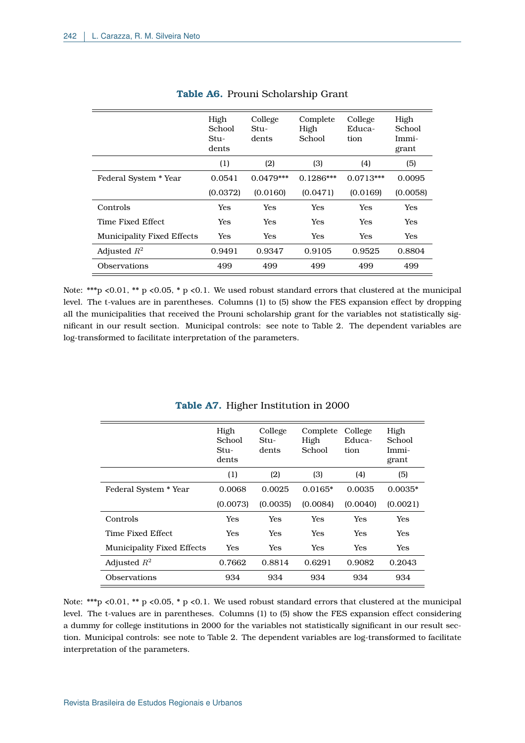|                                   | High<br>School<br>$Stu-$<br>dents | College<br>Stu-<br>dents | Complete<br>High<br>School | College<br>Educa-<br>tion | High<br>School<br>Immi-<br>grant |
|-----------------------------------|-----------------------------------|--------------------------|----------------------------|---------------------------|----------------------------------|
|                                   | (1)                               | (2)                      | (3)                        | (4)                       | (5)                              |
| Federal System * Year             | 0.0541                            | $0.0479***$              | $0.1286***$                | $0.0713***$               | 0.0095                           |
|                                   | (0.0372)                          | (0.0160)                 | (0.0471)                   | (0.0169)                  | (0.0058)                         |
| Controls                          | Yes                               | Yes                      | Yes                        | Yes                       | <b>Yes</b>                       |
| Time Fixed Effect                 | Yes                               | Yes                      | Yes                        | Yes                       | Yes                              |
| <b>Municipality Fixed Effects</b> | Yes                               | Yes                      | <b>Yes</b>                 | Yes                       | <b>Yes</b>                       |
| Adjusted $R^2$                    | 0.9491                            | 0.9347                   | 0.9105                     | 0.9525                    | 0.8804                           |
| <b>Observations</b>               | 499                               | 499                      | 499                        | 499                       | 499                              |

### **Table A6.** Prouni Scholarship Grant

Note: \*\*\*p <0.01, \*\* p <0.05, \* p <0.1. We used robust standard errors that clustered at the municipal level. The t-values are in parentheses. Columns (1) to (5) show the FES expansion effect by dropping all the municipalities that received the Prouni scholarship grant for the variables not statistically significant in our result section. Municipal controls: see note to Table [2.](#page-11-0) The dependent variables are log-transformed to facilitate interpretation of the parameters.

|                            | High<br>School<br>$Stu-$<br>dents | College<br>$Stu-$<br>dents | Complete<br>High<br>School | College<br>Educa-<br>tion | High<br>School<br>Immi-<br>grant |
|----------------------------|-----------------------------------|----------------------------|----------------------------|---------------------------|----------------------------------|
|                            | (1)                               | (2)                        | (3)                        | (4)                       | (5)                              |
| Federal System * Year      | 0.0068                            | 0.0025                     | $0.0165*$                  | 0.0035                    | $0.0035*$                        |
|                            | (0.0073)                          | (0.0035)                   | (0.0084)                   | (0.0040)                  | (0.0021)                         |
| Controls                   | Yes                               | Yes                        | Yes                        | Yes                       | Yes                              |
| Time Fixed Effect          | Yes                               | Yes                        | <b>Yes</b>                 | Yes                       | Yes                              |
| Municipality Fixed Effects | Yes                               | Yes                        | <b>Yes</b>                 | <b>Yes</b>                | Yes                              |
| Adjusted $R^2$             | 0.7662                            | 0.8814                     | 0.6291                     | 0.9082                    | 0.2043                           |
| Observations               | 934                               | 934                        | 934                        | 934                       | 934                              |

#### **Table A7.** Higher Institution in 2000

Note: \*\*\*p <0.01, \*\* p <0.05, \* p <0.1. We used robust standard errors that clustered at the municipal level. The t-values are in parentheses. Columns (1) to (5) show the FES expansion effect considering a dummy for college institutions in 2000 for the variables not statistically significant in our result section. Municipal controls: see note to Table [2.](#page-11-0) The dependent variables are log-transformed to facilitate interpretation of the parameters.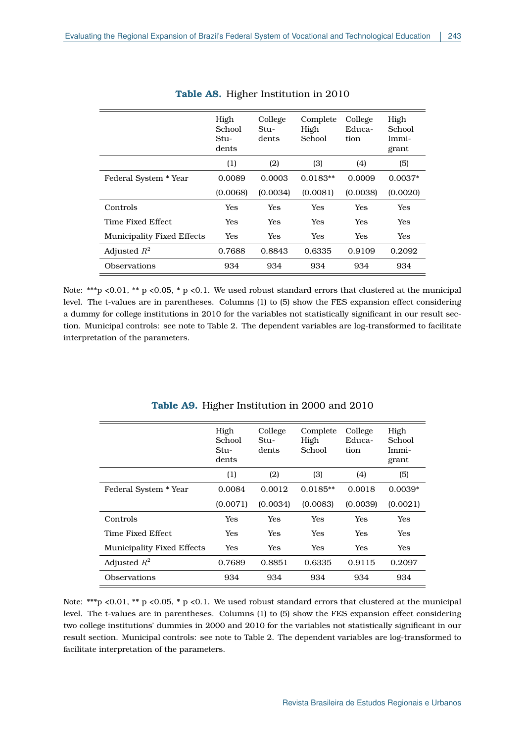|                                   | High<br>School<br>$Stu-$<br>dents | College<br>Stu-<br>dents | Complete<br>High<br>School | College<br>Educa-<br>tion | High<br>School<br>Immi-<br>grant |
|-----------------------------------|-----------------------------------|--------------------------|----------------------------|---------------------------|----------------------------------|
|                                   | (1)                               | (2)                      | (3)                        | (4)                       | (5)                              |
| Federal System * Year             | 0.0089                            | 0.0003                   | $0.0183**$                 | 0.0009                    | $0.0037*$                        |
|                                   | (0.0068)                          | (0.0034)                 | (0.0081)                   | (0.0038)                  | (0.0020)                         |
| Controls                          | Yes                               | Yes                      | Yes                        | Yes                       | Yes                              |
| Time Fixed Effect                 | Yes                               | Yes                      | Yes                        | Yes                       | Yes                              |
| <b>Municipality Fixed Effects</b> | Yes                               | Yes                      | Yes                        | Yes                       | Yes                              |
| Adjusted $R^2$                    | 0.7688                            | 0.8843                   | 0.6335                     | 0.9109                    | 0.2092                           |
| Observations                      | 934                               | 934                      | 934                        | 934                       | 934                              |

## **Table A8.** Higher Institution in 2010

Note: \*\*\*p <0.01, \*\* p <0.05, \* p <0.1. We used robust standard errors that clustered at the municipal level. The t-values are in parentheses. Columns (1) to (5) show the FES expansion effect considering a dummy for college institutions in 2010 for the variables not statistically significant in our result section. Municipal controls: see note to Table [2.](#page-11-0) The dependent variables are log-transformed to facilitate interpretation of the parameters.

|                            | High<br>School<br>$Stu-$<br>dents | College<br>$Stu-$<br>dents | Complete<br>High<br>School | College<br>Educa-<br>tion | High<br>School<br>Immi-<br>grant |
|----------------------------|-----------------------------------|----------------------------|----------------------------|---------------------------|----------------------------------|
|                            | (1)                               | (2)                        | (3)                        | (4)                       | (5)                              |
| Federal System * Year      | 0.0084                            | 0.0012                     | $0.0185**$                 | 0.0018                    | $0.0039*$                        |
|                            | (0.0071)                          | (0.0034)                   | (0.0083)                   | (0.0039)                  | (0.0021)                         |
| Controls                   | Yes                               | Yes                        | Yes                        | Yes                       | Yes                              |
| Time Fixed Effect          | Yes                               | Yes                        | Yes                        | Yes                       | Yes                              |
| Municipality Fixed Effects | Yes                               | Yes                        | Yes                        | <b>Yes</b>                | <b>Yes</b>                       |
| Adjusted $R^2$             | 0.7689                            | 0.8851                     | 0.6335                     | 0.9115                    | 0.2097                           |
| Observations               | 934                               | 934                        | 934                        | 934                       | 934                              |

### **Table A9.** Higher Institution in 2000 and 2010

Note: \*\*\*p <0.01, \*\* p <0.05, \* p <0.1. We used robust standard errors that clustered at the municipal level. The t-values are in parentheses. Columns (1) to (5) show the FES expansion effect considering two college institutions' dummies in 2000 and 2010 for the variables not statistically significant in our result section. Municipal controls: see note to Table [2.](#page-11-0) The dependent variables are log-transformed to facilitate interpretation of the parameters.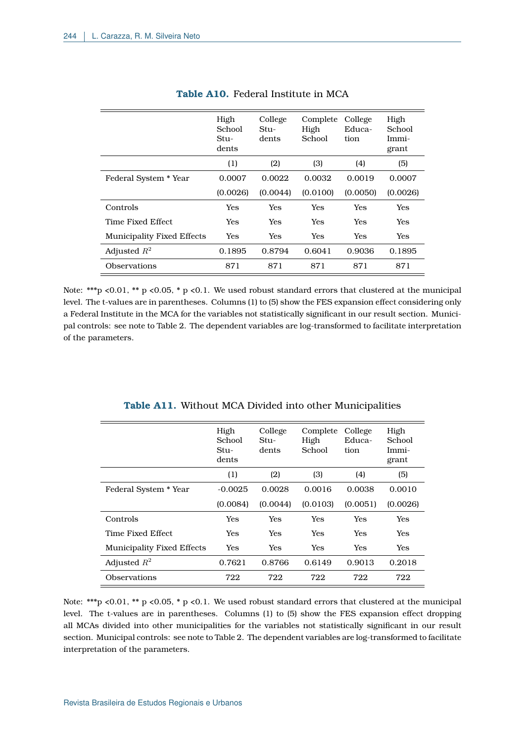|                                   | High<br>School<br>$Stu-$<br>dents | College<br>Stu-<br>dents | Complete<br>High<br>School | College<br>Educa-<br>tion | High<br>School<br>Immi-<br>grant |
|-----------------------------------|-----------------------------------|--------------------------|----------------------------|---------------------------|----------------------------------|
|                                   | (1)                               | (2)                      | (3)                        | (4)                       | (5)                              |
| Federal System * Year             | 0.0007                            | 0.0022                   | 0.0032                     | 0.0019                    | 0.0007                           |
|                                   | (0.0026)                          | (0.0044)                 | (0.0100)                   | (0.0050)                  | (0.0026)                         |
| Controls                          | Yes                               | Yes                      | Yes                        | Yes                       | Yes                              |
| Time Fixed Effect                 | Yes                               | Yes                      | <b>Yes</b>                 | Yes                       | Yes                              |
| <b>Municipality Fixed Effects</b> | Yes                               | Yes                      | <b>Yes</b>                 | Yes                       | Yes                              |
| Adjusted $R^2$                    | 0.1895                            | 0.8794                   | 0.6041                     | 0.9036                    | 0.1895                           |
| Observations                      | 871                               | 871                      | 871                        | 871                       | 871                              |

## **Table A10.** Federal Institute in MCA

Note: \*\*\*p <0.01, \*\* p <0.05, \* p <0.1. We used robust standard errors that clustered at the municipal level. The t-values are in parentheses. Columns (1) to (5) show the FES expansion effect considering only a Federal Institute in the MCA for the variables not statistically significant in our result section. Municipal controls: see note to Table [2.](#page-11-0) The dependent variables are log-transformed to facilitate interpretation of the parameters.

|                                   | High<br>School<br>$Stu-$<br>dents | College<br>$Stu-$<br>dents | Complete<br>High<br>School | College<br>Educa-<br>tion | High<br>School<br>Immi-<br>grant |
|-----------------------------------|-----------------------------------|----------------------------|----------------------------|---------------------------|----------------------------------|
|                                   | (1)                               | (2)                        | (3)                        | (4)                       | (5)                              |
| Federal System * Year             | $-0.0025$                         | 0.0028                     | 0.0016                     | 0.0038                    | 0.0010                           |
|                                   | (0.0084)                          | (0.0044)                   | (0.0103)                   | (0.0051)                  | (0.0026)                         |
| Controls                          | Yes                               | Yes                        | Yes                        | Yes                       | Yes                              |
| Time Fixed Effect                 | Yes                               | Yes                        | Yes                        | Yes                       | Yes                              |
| <b>Municipality Fixed Effects</b> | Yes                               | Yes                        | Yes                        | Yes                       | <b>Yes</b>                       |
| Adjusted $R^2$                    | 0.7621                            | 0.8766                     | 0.6149                     | 0.9013                    | 0.2018                           |
| Observations                      | 722                               | 722                        | 722                        | 722                       | 722                              |

| <b>Table A11.</b> Without MCA Divided into other Municipalities |
|-----------------------------------------------------------------|
|-----------------------------------------------------------------|

Note: \*\*\*p <0.01, \*\* p <0.05, \* p <0.1. We used robust standard errors that clustered at the municipal level. The t-values are in parentheses. Columns (1) to (5) show the FES expansion effect dropping all MCAs divided into other municipalities for the variables not statistically significant in our result section. Municipal controls: see note to Table [2.](#page-11-0) The dependent variables are log-transformed to facilitate interpretation of the parameters.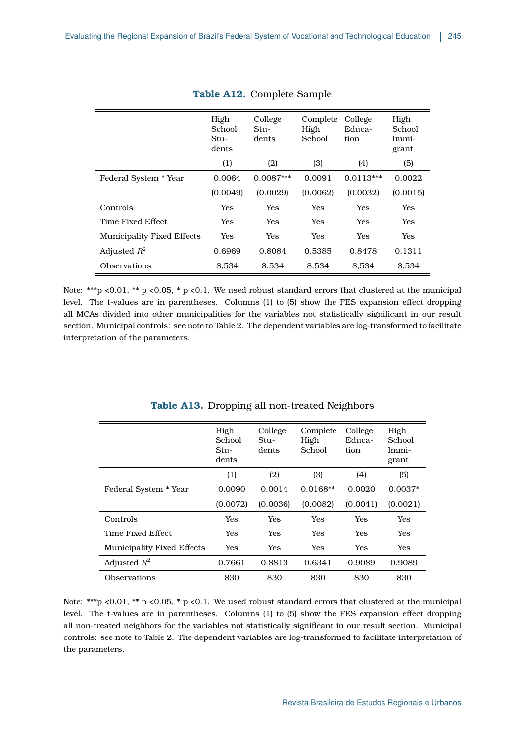|                                   | High<br>School<br>$Stu-$<br>dents | College<br>Stu-<br>dents | Complete<br>High<br>School | College<br>Educa-<br>tion | High<br>School<br>Immi-<br>grant |
|-----------------------------------|-----------------------------------|--------------------------|----------------------------|---------------------------|----------------------------------|
|                                   | (1)                               | (2)                      | (3)                        | (4)                       | (5)                              |
| Federal System * Year             | 0.0064                            | $0.0087***$              | 0.0091                     | $0.0113***$               | 0.0022                           |
|                                   | (0.0049)                          | (0.0029)                 | (0.0062)                   | (0.0032)                  | (0.0015)                         |
| Controls                          | Yes                               | Yes                      | <b>Yes</b>                 | <b>Yes</b>                | Yes                              |
| Time Fixed Effect                 | Yes                               | <b>Yes</b>               | Yes                        | <b>Yes</b>                | Yes                              |
| <b>Municipality Fixed Effects</b> | Yes                               | <b>Yes</b>               | <b>Yes</b>                 | <b>Yes</b>                | Yes                              |
| Adjusted $R^2$                    | 0.6969                            | 0.8084                   | 0.5385                     | 0.8478                    | 0.1311                           |
| Observations                      | 8,534                             | 8.534                    | 8.534                      | 8.534                     | 8,534                            |

## **Table A12.** Complete Sample

Note: \*\*\*p <0.01, \*\* p <0.05, \* p <0.1. We used robust standard errors that clustered at the municipal level. The t-values are in parentheses. Columns (1) to (5) show the FES expansion effect dropping all MCAs divided into other municipalities for the variables not statistically significant in our result section. Municipal controls: see note to Table [2.](#page-11-0) The dependent variables are log-transformed to facilitate interpretation of the parameters.

|                                   | High<br>School<br>$Stu-$<br>dents | College<br>$Stu-$<br>dents | Complete<br>High<br>School | College<br>Educa-<br>tion | High<br>School<br>Immi-<br>grant |
|-----------------------------------|-----------------------------------|----------------------------|----------------------------|---------------------------|----------------------------------|
|                                   | (1)                               | (2)                        | (3)                        | (4)                       | (5)                              |
| Federal System * Year             | 0.0090                            | 0.0014                     | $0.0168**$                 | 0.0020                    | $0.0037*$                        |
|                                   | (0.0072)                          | (0.0036)                   | (0.0082)                   | (0.0041)                  | (0.0021)                         |
| Controls                          | Yes                               | Yes                        | Yes                        | Yes                       | Yes                              |
| Time Fixed Effect                 | Yes                               | Yes                        | Yes                        | Yes                       | Yes                              |
| <b>Municipality Fixed Effects</b> | Yes                               | Yes                        | Yes                        | Yes                       | <b>Yes</b>                       |
| Adjusted $R^2$                    | 0.7661                            | 0.8813                     | 0.6341                     | 0.9089                    | 0.9089                           |
| Observations                      | 830                               | 830                        | 830                        | 830                       | 830                              |

## **Table A13.** Dropping all non-treated Neighbors

Note: \*\*\*p <0.01, \*\* p <0.05, \* p <0.1. We used robust standard errors that clustered at the municipal level. The t-values are in parentheses. Columns (1) to (5) show the FES expansion effect dropping all non-treated neighbors for the variables not statistically significant in our result section. Municipal controls: see note to Table [2.](#page-11-0) The dependent variables are log-transformed to facilitate interpretation of the parameters.